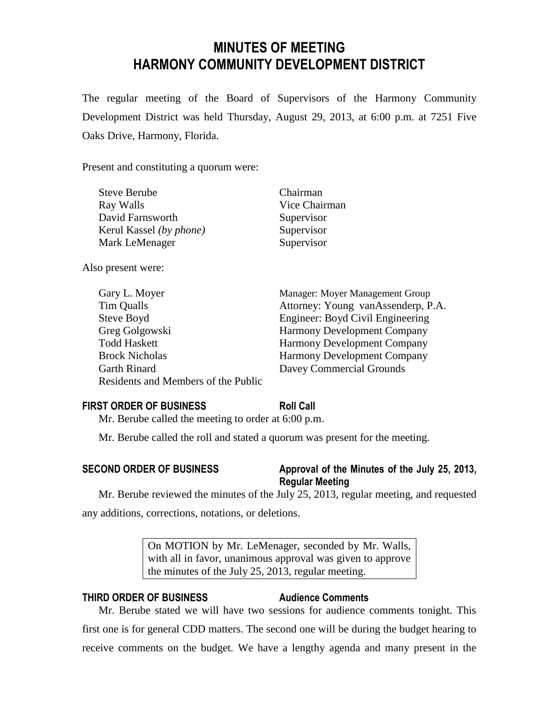# **MINUTES OF MEETING HARMONY COMMUNITY DEVELOPMENT DISTRICT**

The regular meeting of the Board of Supervisors of the Harmony Community Development District was held Thursday, August 29, 2013, at 6:00 p.m. at 7251 Five Oaks Drive, Harmony, Florida.

Present and constituting a quorum were:

| <b>Steve Berube</b>     | Chairman      |
|-------------------------|---------------|
| Ray Walls               | Vice Chairman |
| David Farnsworth        | Supervisor    |
| Kerul Kassel (by phone) | Supervisor    |
| Mark LeMenager          | Supervisor    |
|                         |               |

Also present were:

| Manager: Moyer Management Group    |
|------------------------------------|
| Attorney: Young vanAssenderp, P.A. |
| Engineer: Boyd Civil Engineering   |
| <b>Harmony Development Company</b> |
| <b>Harmony Development Company</b> |
| <b>Harmony Development Company</b> |
| Davey Commercial Grounds           |
|                                    |
|                                    |

#### **FIRST ORDER OF BUSINESS Roll Call**

Mr. Berube called the meeting to order at 6:00 p.m.

Mr. Berube called the roll and stated a quorum was present for the meeting.

## **SECOND ORDER OF BUSINESS Approval of the Minutes of the July 25, 2013, Regular Meeting**

Mr. Berube reviewed the minutes of the July 25, 2013, regular meeting, and requested any additions, corrections, notations, or deletions.

> On MOTION by Mr. LeMenager, seconded by Mr. Walls, with all in favor, unanimous approval was given to approve the minutes of the July 25, 2013, regular meeting.

## **THIRD ORDER OF BUSINESS Audience Comments**

Mr. Berube stated we will have two sessions for audience comments tonight. This first one is for general CDD matters. The second one will be during the budget hearing to receive comments on the budget. We have a lengthy agenda and many present in the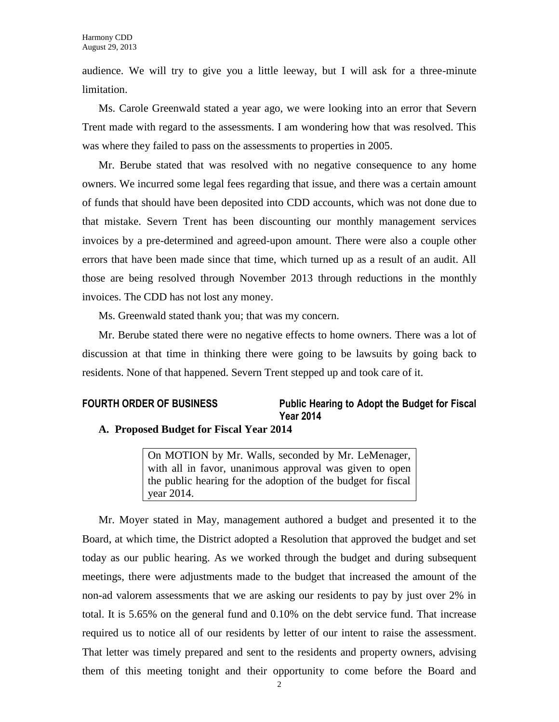audience. We will try to give you a little leeway, but I will ask for a three-minute limitation.

Ms. Carole Greenwald stated a year ago, we were looking into an error that Severn Trent made with regard to the assessments. I am wondering how that was resolved. This was where they failed to pass on the assessments to properties in 2005.

Mr. Berube stated that was resolved with no negative consequence to any home owners. We incurred some legal fees regarding that issue, and there was a certain amount of funds that should have been deposited into CDD accounts, which was not done due to that mistake. Severn Trent has been discounting our monthly management services invoices by a pre-determined and agreed-upon amount. There were also a couple other errors that have been made since that time, which turned up as a result of an audit. All those are being resolved through November 2013 through reductions in the monthly invoices. The CDD has not lost any money.

Ms. Greenwald stated thank you; that was my concern.

Mr. Berube stated there were no negative effects to home owners. There was a lot of discussion at that time in thinking there were going to be lawsuits by going back to residents. None of that happened. Severn Trent stepped up and took care of it.

## **FOURTH ORDER OF BUSINESS Public Hearing to Adopt the Budget for Fiscal Year 2014**

#### **A. Proposed Budget for Fiscal Year 2014**

On MOTION by Mr. Walls, seconded by Mr. LeMenager, with all in favor, unanimous approval was given to open the public hearing for the adoption of the budget for fiscal year 2014.

Mr. Moyer stated in May, management authored a budget and presented it to the Board, at which time, the District adopted a Resolution that approved the budget and set today as our public hearing. As we worked through the budget and during subsequent meetings, there were adjustments made to the budget that increased the amount of the non-ad valorem assessments that we are asking our residents to pay by just over 2% in total. It is 5.65% on the general fund and 0.10% on the debt service fund. That increase required us to notice all of our residents by letter of our intent to raise the assessment. That letter was timely prepared and sent to the residents and property owners, advising them of this meeting tonight and their opportunity to come before the Board and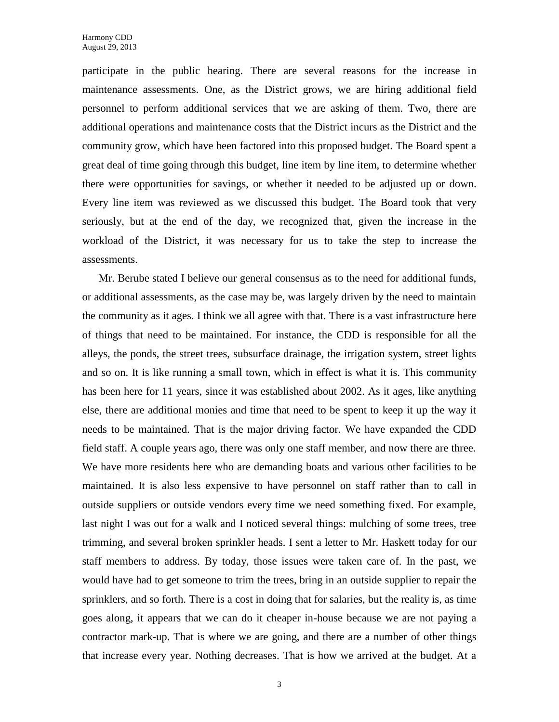participate in the public hearing. There are several reasons for the increase in maintenance assessments. One, as the District grows, we are hiring additional field personnel to perform additional services that we are asking of them. Two, there are additional operations and maintenance costs that the District incurs as the District and the community grow, which have been factored into this proposed budget. The Board spent a great deal of time going through this budget, line item by line item, to determine whether there were opportunities for savings, or whether it needed to be adjusted up or down. Every line item was reviewed as we discussed this budget. The Board took that very seriously, but at the end of the day, we recognized that, given the increase in the workload of the District, it was necessary for us to take the step to increase the assessments.

Mr. Berube stated I believe our general consensus as to the need for additional funds, or additional assessments, as the case may be, was largely driven by the need to maintain the community as it ages. I think we all agree with that. There is a vast infrastructure here of things that need to be maintained. For instance, the CDD is responsible for all the alleys, the ponds, the street trees, subsurface drainage, the irrigation system, street lights and so on. It is like running a small town, which in effect is what it is. This community has been here for 11 years, since it was established about 2002. As it ages, like anything else, there are additional monies and time that need to be spent to keep it up the way it needs to be maintained. That is the major driving factor. We have expanded the CDD field staff. A couple years ago, there was only one staff member, and now there are three. We have more residents here who are demanding boats and various other facilities to be maintained. It is also less expensive to have personnel on staff rather than to call in outside suppliers or outside vendors every time we need something fixed. For example, last night I was out for a walk and I noticed several things: mulching of some trees, tree trimming, and several broken sprinkler heads. I sent a letter to Mr. Haskett today for our staff members to address. By today, those issues were taken care of. In the past, we would have had to get someone to trim the trees, bring in an outside supplier to repair the sprinklers, and so forth. There is a cost in doing that for salaries, but the reality is, as time goes along, it appears that we can do it cheaper in-house because we are not paying a contractor mark-up. That is where we are going, and there are a number of other things that increase every year. Nothing decreases. That is how we arrived at the budget. At a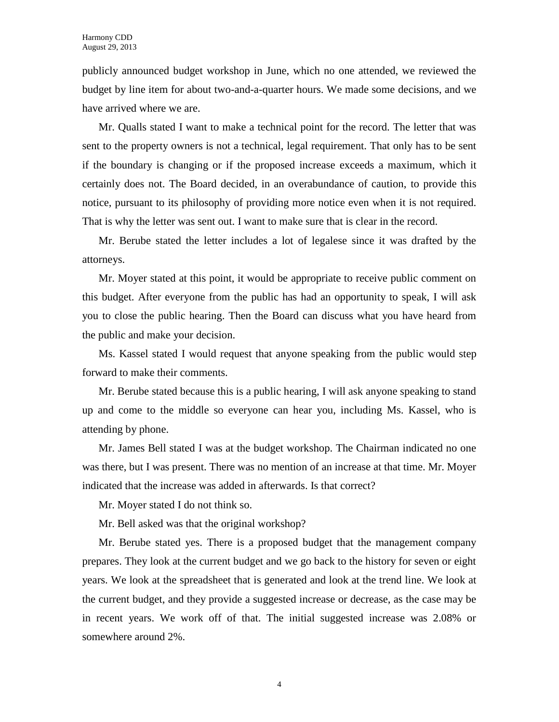publicly announced budget workshop in June, which no one attended, we reviewed the budget by line item for about two-and-a-quarter hours. We made some decisions, and we have arrived where we are.

Mr. Qualls stated I want to make a technical point for the record. The letter that was sent to the property owners is not a technical, legal requirement. That only has to be sent if the boundary is changing or if the proposed increase exceeds a maximum, which it certainly does not. The Board decided, in an overabundance of caution, to provide this notice, pursuant to its philosophy of providing more notice even when it is not required. That is why the letter was sent out. I want to make sure that is clear in the record.

Mr. Berube stated the letter includes a lot of legalese since it was drafted by the attorneys.

Mr. Moyer stated at this point, it would be appropriate to receive public comment on this budget. After everyone from the public has had an opportunity to speak, I will ask you to close the public hearing. Then the Board can discuss what you have heard from the public and make your decision.

Ms. Kassel stated I would request that anyone speaking from the public would step forward to make their comments.

Mr. Berube stated because this is a public hearing, I will ask anyone speaking to stand up and come to the middle so everyone can hear you, including Ms. Kassel, who is attending by phone.

Mr. James Bell stated I was at the budget workshop. The Chairman indicated no one was there, but I was present. There was no mention of an increase at that time. Mr. Moyer indicated that the increase was added in afterwards. Is that correct?

Mr. Moyer stated I do not think so.

Mr. Bell asked was that the original workshop?

Mr. Berube stated yes. There is a proposed budget that the management company prepares. They look at the current budget and we go back to the history for seven or eight years. We look at the spreadsheet that is generated and look at the trend line. We look at the current budget, and they provide a suggested increase or decrease, as the case may be in recent years. We work off of that. The initial suggested increase was 2.08% or somewhere around 2%.

4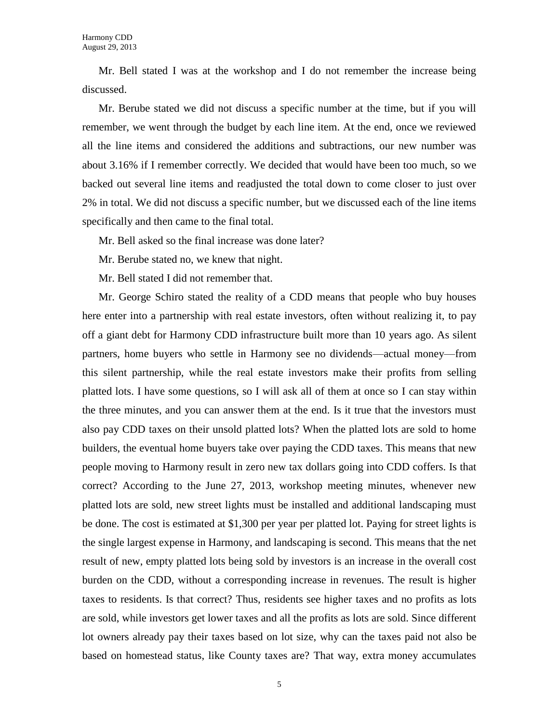Mr. Bell stated I was at the workshop and I do not remember the increase being discussed.

Mr. Berube stated we did not discuss a specific number at the time, but if you will remember, we went through the budget by each line item. At the end, once we reviewed all the line items and considered the additions and subtractions, our new number was about 3.16% if I remember correctly. We decided that would have been too much, so we backed out several line items and readjusted the total down to come closer to just over 2% in total. We did not discuss a specific number, but we discussed each of the line items specifically and then came to the final total.

Mr. Bell asked so the final increase was done later?

Mr. Berube stated no, we knew that night.

Mr. Bell stated I did not remember that.

Mr. George Schiro stated the reality of a CDD means that people who buy houses here enter into a partnership with real estate investors, often without realizing it, to pay off a giant debt for Harmony CDD infrastructure built more than 10 years ago. As silent partners, home buyers who settle in Harmony see no dividends—actual money—from this silent partnership, while the real estate investors make their profits from selling platted lots. I have some questions, so I will ask all of them at once so I can stay within the three minutes, and you can answer them at the end. Is it true that the investors must also pay CDD taxes on their unsold platted lots? When the platted lots are sold to home builders, the eventual home buyers take over paying the CDD taxes. This means that new people moving to Harmony result in zero new tax dollars going into CDD coffers. Is that correct? According to the June 27, 2013, workshop meeting minutes, whenever new platted lots are sold, new street lights must be installed and additional landscaping must be done. The cost is estimated at \$1,300 per year per platted lot. Paying for street lights is the single largest expense in Harmony, and landscaping is second. This means that the net result of new, empty platted lots being sold by investors is an increase in the overall cost burden on the CDD, without a corresponding increase in revenues. The result is higher taxes to residents. Is that correct? Thus, residents see higher taxes and no profits as lots are sold, while investors get lower taxes and all the profits as lots are sold. Since different lot owners already pay their taxes based on lot size, why can the taxes paid not also be based on homestead status, like County taxes are? That way, extra money accumulates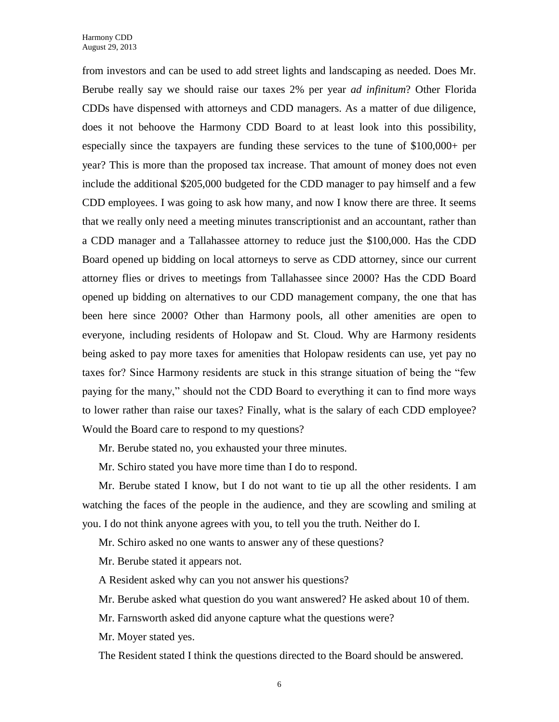from investors and can be used to add street lights and landscaping as needed. Does Mr. Berube really say we should raise our taxes 2% per year *ad infinitum*? Other Florida CDDs have dispensed with attorneys and CDD managers. As a matter of due diligence, does it not behoove the Harmony CDD Board to at least look into this possibility, especially since the taxpayers are funding these services to the tune of \$100,000+ per year? This is more than the proposed tax increase. That amount of money does not even include the additional \$205,000 budgeted for the CDD manager to pay himself and a few CDD employees. I was going to ask how many, and now I know there are three. It seems that we really only need a meeting minutes transcriptionist and an accountant, rather than a CDD manager and a Tallahassee attorney to reduce just the \$100,000. Has the CDD Board opened up bidding on local attorneys to serve as CDD attorney, since our current attorney flies or drives to meetings from Tallahassee since 2000? Has the CDD Board opened up bidding on alternatives to our CDD management company, the one that has been here since 2000? Other than Harmony pools, all other amenities are open to everyone, including residents of Holopaw and St. Cloud. Why are Harmony residents being asked to pay more taxes for amenities that Holopaw residents can use, yet pay no taxes for? Since Harmony residents are stuck in this strange situation of being the "few paying for the many," should not the CDD Board to everything it can to find more ways to lower rather than raise our taxes? Finally, what is the salary of each CDD employee? Would the Board care to respond to my questions?

Mr. Berube stated no, you exhausted your three minutes.

Mr. Schiro stated you have more time than I do to respond.

Mr. Berube stated I know, but I do not want to tie up all the other residents. I am watching the faces of the people in the audience, and they are scowling and smiling at you. I do not think anyone agrees with you, to tell you the truth. Neither do I.

Mr. Schiro asked no one wants to answer any of these questions?

Mr. Berube stated it appears not.

A Resident asked why can you not answer his questions?

Mr. Berube asked what question do you want answered? He asked about 10 of them.

Mr. Farnsworth asked did anyone capture what the questions were?

Mr. Moyer stated yes.

The Resident stated I think the questions directed to the Board should be answered.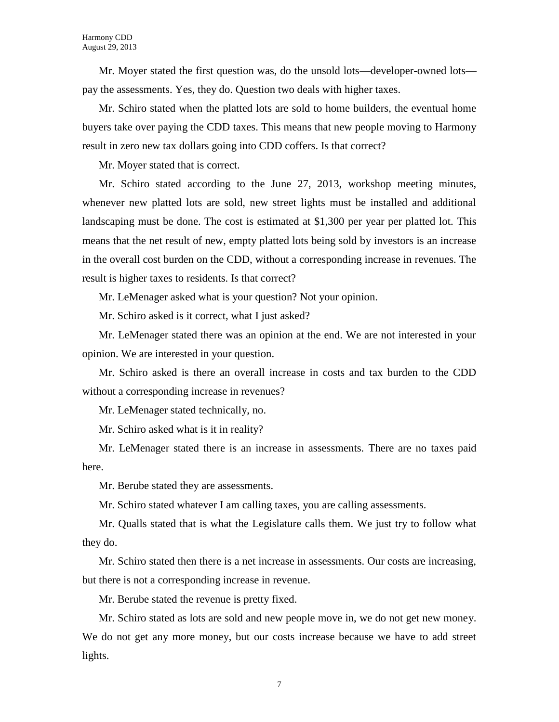Mr. Moyer stated the first question was, do the unsold lots—developer-owned lots pay the assessments. Yes, they do. Question two deals with higher taxes.

Mr. Schiro stated when the platted lots are sold to home builders, the eventual home buyers take over paying the CDD taxes. This means that new people moving to Harmony result in zero new tax dollars going into CDD coffers. Is that correct?

Mr. Moyer stated that is correct.

Mr. Schiro stated according to the June 27, 2013, workshop meeting minutes, whenever new platted lots are sold, new street lights must be installed and additional landscaping must be done. The cost is estimated at \$1,300 per year per platted lot. This means that the net result of new, empty platted lots being sold by investors is an increase in the overall cost burden on the CDD, without a corresponding increase in revenues. The result is higher taxes to residents. Is that correct?

Mr. LeMenager asked what is your question? Not your opinion.

Mr. Schiro asked is it correct, what I just asked?

Mr. LeMenager stated there was an opinion at the end. We are not interested in your opinion. We are interested in your question.

Mr. Schiro asked is there an overall increase in costs and tax burden to the CDD without a corresponding increase in revenues?

Mr. LeMenager stated technically, no.

Mr. Schiro asked what is it in reality?

Mr. LeMenager stated there is an increase in assessments. There are no taxes paid here.

Mr. Berube stated they are assessments.

Mr. Schiro stated whatever I am calling taxes, you are calling assessments.

Mr. Qualls stated that is what the Legislature calls them. We just try to follow what they do.

Mr. Schiro stated then there is a net increase in assessments. Our costs are increasing, but there is not a corresponding increase in revenue.

Mr. Berube stated the revenue is pretty fixed.

Mr. Schiro stated as lots are sold and new people move in, we do not get new money. We do not get any more money, but our costs increase because we have to add street lights.

7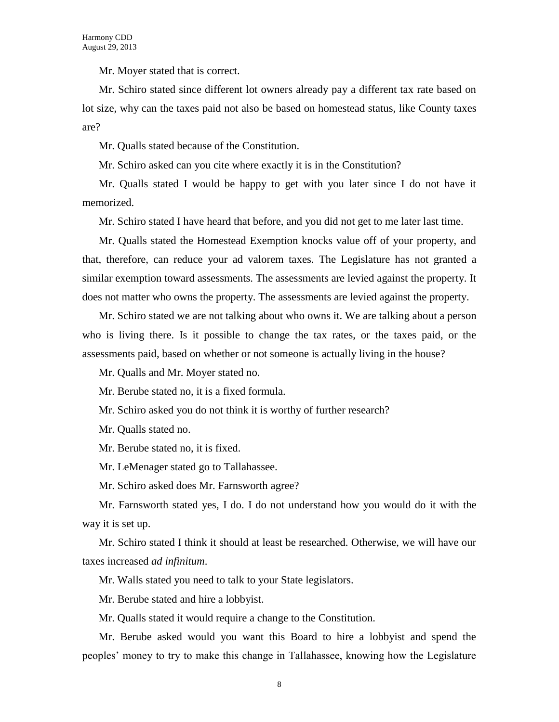Mr. Moyer stated that is correct.

Mr. Schiro stated since different lot owners already pay a different tax rate based on lot size, why can the taxes paid not also be based on homestead status, like County taxes are?

Mr. Qualls stated because of the Constitution.

Mr. Schiro asked can you cite where exactly it is in the Constitution?

Mr. Qualls stated I would be happy to get with you later since I do not have it memorized.

Mr. Schiro stated I have heard that before, and you did not get to me later last time.

Mr. Qualls stated the Homestead Exemption knocks value off of your property, and that, therefore, can reduce your ad valorem taxes. The Legislature has not granted a similar exemption toward assessments. The assessments are levied against the property. It does not matter who owns the property. The assessments are levied against the property.

Mr. Schiro stated we are not talking about who owns it. We are talking about a person who is living there. Is it possible to change the tax rates, or the taxes paid, or the assessments paid, based on whether or not someone is actually living in the house?

Mr. Qualls and Mr. Moyer stated no.

Mr. Berube stated no, it is a fixed formula.

Mr. Schiro asked you do not think it is worthy of further research?

Mr. Qualls stated no.

Mr. Berube stated no, it is fixed.

Mr. LeMenager stated go to Tallahassee.

Mr. Schiro asked does Mr. Farnsworth agree?

Mr. Farnsworth stated yes, I do. I do not understand how you would do it with the way it is set up.

Mr. Schiro stated I think it should at least be researched. Otherwise, we will have our taxes increased *ad infinitum*.

Mr. Walls stated you need to talk to your State legislators.

Mr. Berube stated and hire a lobbyist.

Mr. Qualls stated it would require a change to the Constitution.

Mr. Berube asked would you want this Board to hire a lobbyist and spend the peoples' money to try to make this change in Tallahassee, knowing how the Legislature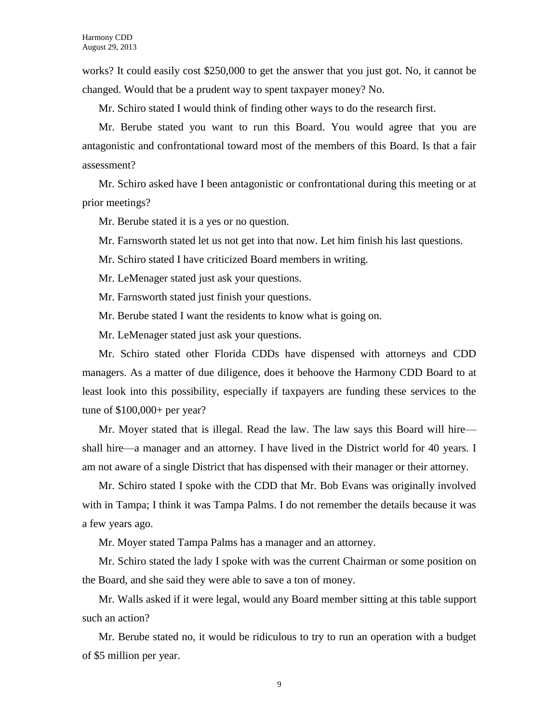works? It could easily cost \$250,000 to get the answer that you just got. No, it cannot be changed. Would that be a prudent way to spent taxpayer money? No.

Mr. Schiro stated I would think of finding other ways to do the research first.

Mr. Berube stated you want to run this Board. You would agree that you are antagonistic and confrontational toward most of the members of this Board. Is that a fair assessment?

Mr. Schiro asked have I been antagonistic or confrontational during this meeting or at prior meetings?

Mr. Berube stated it is a yes or no question.

Mr. Farnsworth stated let us not get into that now. Let him finish his last questions.

Mr. Schiro stated I have criticized Board members in writing.

Mr. LeMenager stated just ask your questions.

Mr. Farnsworth stated just finish your questions.

Mr. Berube stated I want the residents to know what is going on.

Mr. LeMenager stated just ask your questions.

Mr. Schiro stated other Florida CDDs have dispensed with attorneys and CDD managers. As a matter of due diligence, does it behoove the Harmony CDD Board to at least look into this possibility, especially if taxpayers are funding these services to the tune of \$100,000+ per year?

Mr. Moyer stated that is illegal. Read the law. The law says this Board will hire shall hire—a manager and an attorney. I have lived in the District world for 40 years. I am not aware of a single District that has dispensed with their manager or their attorney.

Mr. Schiro stated I spoke with the CDD that Mr. Bob Evans was originally involved with in Tampa; I think it was Tampa Palms. I do not remember the details because it was a few years ago.

Mr. Moyer stated Tampa Palms has a manager and an attorney.

Mr. Schiro stated the lady I spoke with was the current Chairman or some position on the Board, and she said they were able to save a ton of money.

Mr. Walls asked if it were legal, would any Board member sitting at this table support such an action?

Mr. Berube stated no, it would be ridiculous to try to run an operation with a budget of \$5 million per year.

9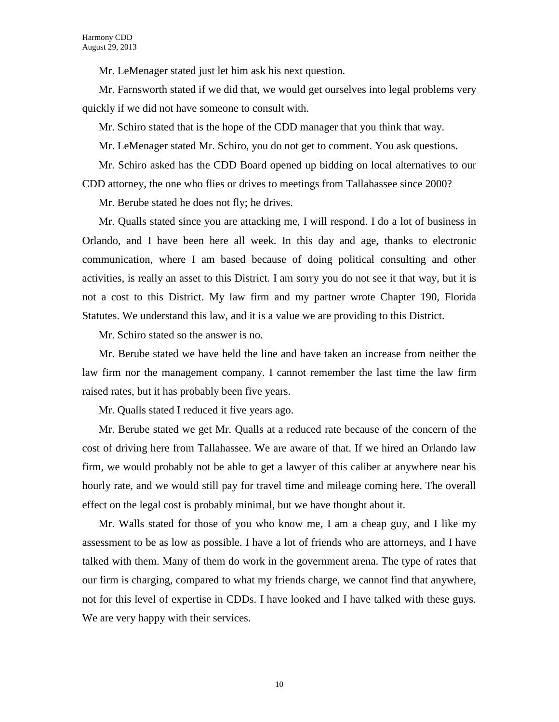Mr. LeMenager stated just let him ask his next question.

Mr. Farnsworth stated if we did that, we would get ourselves into legal problems very quickly if we did not have someone to consult with.

Mr. Schiro stated that is the hope of the CDD manager that you think that way.

Mr. LeMenager stated Mr. Schiro, you do not get to comment. You ask questions.

Mr. Schiro asked has the CDD Board opened up bidding on local alternatives to our CDD attorney, the one who flies or drives to meetings from Tallahassee since 2000?

Mr. Berube stated he does not fly; he drives.

Mr. Qualls stated since you are attacking me, I will respond. I do a lot of business in Orlando, and I have been here all week. In this day and age, thanks to electronic communication, where I am based because of doing political consulting and other activities, is really an asset to this District. I am sorry you do not see it that way, but it is not a cost to this District. My law firm and my partner wrote Chapter 190, Florida Statutes. We understand this law, and it is a value we are providing to this District.

Mr. Schiro stated so the answer is no.

Mr. Berube stated we have held the line and have taken an increase from neither the law firm nor the management company. I cannot remember the last time the law firm raised rates, but it has probably been five years.

Mr. Qualls stated I reduced it five years ago.

Mr. Berube stated we get Mr. Qualls at a reduced rate because of the concern of the cost of driving here from Tallahassee. We are aware of that. If we hired an Orlando law firm, we would probably not be able to get a lawyer of this caliber at anywhere near his hourly rate, and we would still pay for travel time and mileage coming here. The overall effect on the legal cost is probably minimal, but we have thought about it.

Mr. Walls stated for those of you who know me, I am a cheap guy, and I like my assessment to be as low as possible. I have a lot of friends who are attorneys, and I have talked with them. Many of them do work in the government arena. The type of rates that our firm is charging, compared to what my friends charge, we cannot find that anywhere, not for this level of expertise in CDDs. I have looked and I have talked with these guys. We are very happy with their services.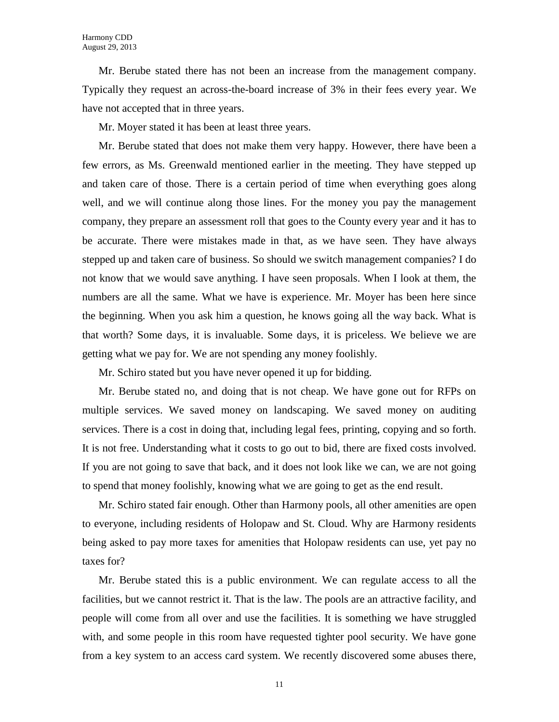Mr. Berube stated there has not been an increase from the management company. Typically they request an across-the-board increase of 3% in their fees every year. We have not accepted that in three years.

Mr. Moyer stated it has been at least three years.

Mr. Berube stated that does not make them very happy. However, there have been a few errors, as Ms. Greenwald mentioned earlier in the meeting. They have stepped up and taken care of those. There is a certain period of time when everything goes along well, and we will continue along those lines. For the money you pay the management company, they prepare an assessment roll that goes to the County every year and it has to be accurate. There were mistakes made in that, as we have seen. They have always stepped up and taken care of business. So should we switch management companies? I do not know that we would save anything. I have seen proposals. When I look at them, the numbers are all the same. What we have is experience. Mr. Moyer has been here since the beginning. When you ask him a question, he knows going all the way back. What is that worth? Some days, it is invaluable. Some days, it is priceless. We believe we are getting what we pay for. We are not spending any money foolishly.

Mr. Schiro stated but you have never opened it up for bidding.

Mr. Berube stated no, and doing that is not cheap. We have gone out for RFPs on multiple services. We saved money on landscaping. We saved money on auditing services. There is a cost in doing that, including legal fees, printing, copying and so forth. It is not free. Understanding what it costs to go out to bid, there are fixed costs involved. If you are not going to save that back, and it does not look like we can, we are not going to spend that money foolishly, knowing what we are going to get as the end result.

Mr. Schiro stated fair enough. Other than Harmony pools, all other amenities are open to everyone, including residents of Holopaw and St. Cloud. Why are Harmony residents being asked to pay more taxes for amenities that Holopaw residents can use, yet pay no taxes for?

Mr. Berube stated this is a public environment. We can regulate access to all the facilities, but we cannot restrict it. That is the law. The pools are an attractive facility, and people will come from all over and use the facilities. It is something we have struggled with, and some people in this room have requested tighter pool security. We have gone from a key system to an access card system. We recently discovered some abuses there,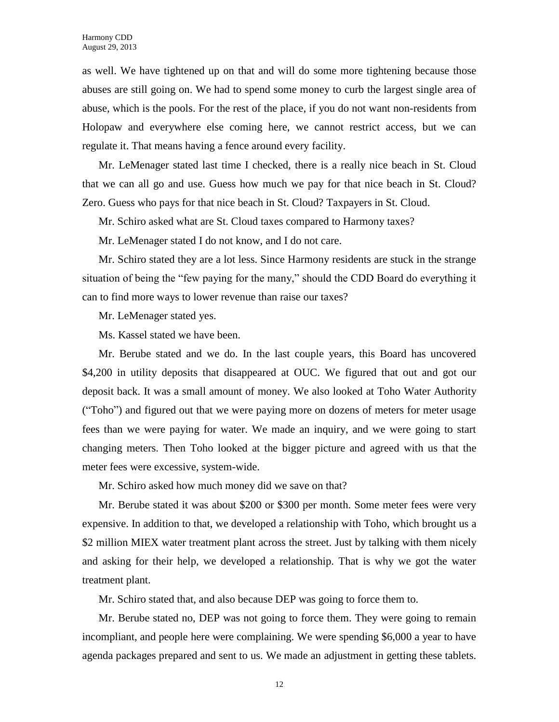as well. We have tightened up on that and will do some more tightening because those abuses are still going on. We had to spend some money to curb the largest single area of abuse, which is the pools. For the rest of the place, if you do not want non-residents from Holopaw and everywhere else coming here, we cannot restrict access, but we can regulate it. That means having a fence around every facility.

Mr. LeMenager stated last time I checked, there is a really nice beach in St. Cloud that we can all go and use. Guess how much we pay for that nice beach in St. Cloud? Zero. Guess who pays for that nice beach in St. Cloud? Taxpayers in St. Cloud.

Mr. Schiro asked what are St. Cloud taxes compared to Harmony taxes?

Mr. LeMenager stated I do not know, and I do not care.

Mr. Schiro stated they are a lot less. Since Harmony residents are stuck in the strange situation of being the "few paying for the many," should the CDD Board do everything it can to find more ways to lower revenue than raise our taxes?

Mr. LeMenager stated yes.

Ms. Kassel stated we have been.

Mr. Berube stated and we do. In the last couple years, this Board has uncovered \$4,200 in utility deposits that disappeared at OUC. We figured that out and got our deposit back. It was a small amount of money. We also looked at Toho Water Authority ("Toho") and figured out that we were paying more on dozens of meters for meter usage fees than we were paying for water. We made an inquiry, and we were going to start changing meters. Then Toho looked at the bigger picture and agreed with us that the meter fees were excessive, system-wide.

Mr. Schiro asked how much money did we save on that?

Mr. Berube stated it was about \$200 or \$300 per month. Some meter fees were very expensive. In addition to that, we developed a relationship with Toho, which brought us a \$2 million MIEX water treatment plant across the street. Just by talking with them nicely and asking for their help, we developed a relationship. That is why we got the water treatment plant.

Mr. Schiro stated that, and also because DEP was going to force them to.

Mr. Berube stated no, DEP was not going to force them. They were going to remain incompliant, and people here were complaining. We were spending \$6,000 a year to have agenda packages prepared and sent to us. We made an adjustment in getting these tablets.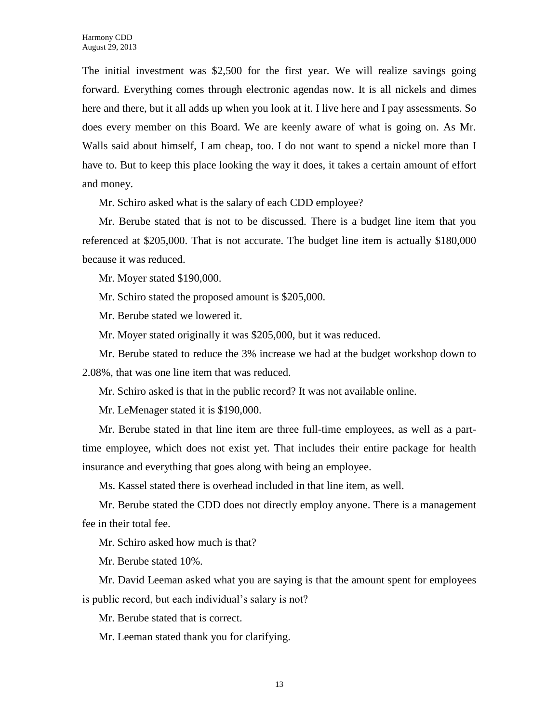The initial investment was \$2,500 for the first year. We will realize savings going forward. Everything comes through electronic agendas now. It is all nickels and dimes here and there, but it all adds up when you look at it. I live here and I pay assessments. So does every member on this Board. We are keenly aware of what is going on. As Mr. Walls said about himself, I am cheap, too. I do not want to spend a nickel more than I have to. But to keep this place looking the way it does, it takes a certain amount of effort and money.

Mr. Schiro asked what is the salary of each CDD employee?

Mr. Berube stated that is not to be discussed. There is a budget line item that you referenced at \$205,000. That is not accurate. The budget line item is actually \$180,000 because it was reduced.

Mr. Moyer stated \$190,000.

Mr. Schiro stated the proposed amount is \$205,000.

Mr. Berube stated we lowered it.

Mr. Moyer stated originally it was \$205,000, but it was reduced.

Mr. Berube stated to reduce the 3% increase we had at the budget workshop down to 2.08%, that was one line item that was reduced.

Mr. Schiro asked is that in the public record? It was not available online.

Mr. LeMenager stated it is \$190,000.

Mr. Berube stated in that line item are three full-time employees, as well as a parttime employee, which does not exist yet. That includes their entire package for health insurance and everything that goes along with being an employee.

Ms. Kassel stated there is overhead included in that line item, as well.

Mr. Berube stated the CDD does not directly employ anyone. There is a management fee in their total fee.

Mr. Schiro asked how much is that?

Mr. Berube stated 10%.

Mr. David Leeman asked what you are saying is that the amount spent for employees is public record, but each individual's salary is not?

Mr. Berube stated that is correct.

Mr. Leeman stated thank you for clarifying.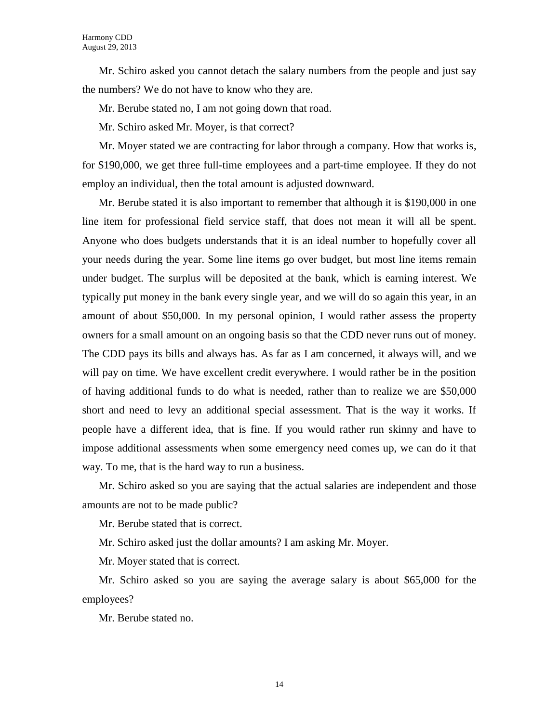Mr. Schiro asked you cannot detach the salary numbers from the people and just say the numbers? We do not have to know who they are.

Mr. Berube stated no, I am not going down that road.

Mr. Schiro asked Mr. Moyer, is that correct?

Mr. Moyer stated we are contracting for labor through a company. How that works is, for \$190,000, we get three full-time employees and a part-time employee. If they do not employ an individual, then the total amount is adjusted downward.

Mr. Berube stated it is also important to remember that although it is \$190,000 in one line item for professional field service staff, that does not mean it will all be spent. Anyone who does budgets understands that it is an ideal number to hopefully cover all your needs during the year. Some line items go over budget, but most line items remain under budget. The surplus will be deposited at the bank, which is earning interest. We typically put money in the bank every single year, and we will do so again this year, in an amount of about \$50,000. In my personal opinion, I would rather assess the property owners for a small amount on an ongoing basis so that the CDD never runs out of money. The CDD pays its bills and always has. As far as I am concerned, it always will, and we will pay on time. We have excellent credit everywhere. I would rather be in the position of having additional funds to do what is needed, rather than to realize we are \$50,000 short and need to levy an additional special assessment. That is the way it works. If people have a different idea, that is fine. If you would rather run skinny and have to impose additional assessments when some emergency need comes up, we can do it that way. To me, that is the hard way to run a business.

Mr. Schiro asked so you are saying that the actual salaries are independent and those amounts are not to be made public?

Mr. Berube stated that is correct.

Mr. Schiro asked just the dollar amounts? I am asking Mr. Moyer.

Mr. Moyer stated that is correct.

Mr. Schiro asked so you are saying the average salary is about \$65,000 for the employees?

Mr. Berube stated no.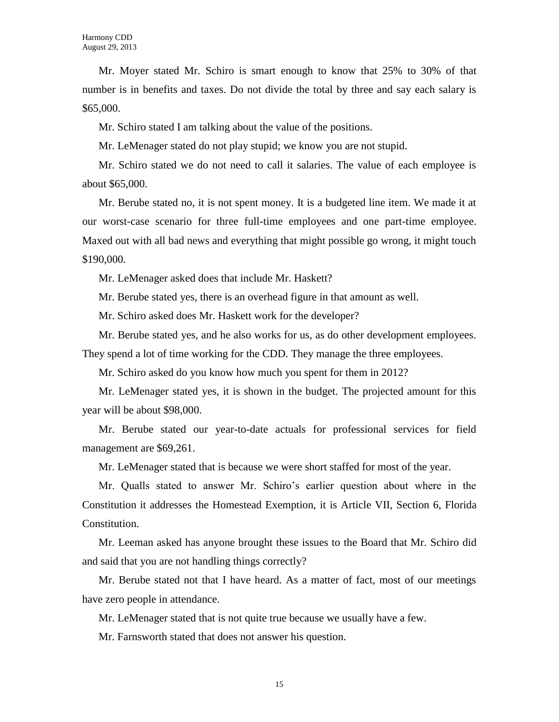Mr. Moyer stated Mr. Schiro is smart enough to know that 25% to 30% of that number is in benefits and taxes. Do not divide the total by three and say each salary is \$65,000.

Mr. Schiro stated I am talking about the value of the positions.

Mr. LeMenager stated do not play stupid; we know you are not stupid.

Mr. Schiro stated we do not need to call it salaries. The value of each employee is about \$65,000.

Mr. Berube stated no, it is not spent money. It is a budgeted line item. We made it at our worst-case scenario for three full-time employees and one part-time employee. Maxed out with all bad news and everything that might possible go wrong, it might touch \$190,000.

Mr. LeMenager asked does that include Mr. Haskett?

Mr. Berube stated yes, there is an overhead figure in that amount as well.

Mr. Schiro asked does Mr. Haskett work for the developer?

Mr. Berube stated yes, and he also works for us, as do other development employees. They spend a lot of time working for the CDD. They manage the three employees.

Mr. Schiro asked do you know how much you spent for them in 2012?

Mr. LeMenager stated yes, it is shown in the budget. The projected amount for this year will be about \$98,000.

Mr. Berube stated our year-to-date actuals for professional services for field management are \$69,261.

Mr. LeMenager stated that is because we were short staffed for most of the year.

Mr. Qualls stated to answer Mr. Schiro's earlier question about where in the Constitution it addresses the Homestead Exemption, it is Article VII, Section 6, Florida Constitution.

Mr. Leeman asked has anyone brought these issues to the Board that Mr. Schiro did and said that you are not handling things correctly?

Mr. Berube stated not that I have heard. As a matter of fact, most of our meetings have zero people in attendance.

Mr. LeMenager stated that is not quite true because we usually have a few.

Mr. Farnsworth stated that does not answer his question.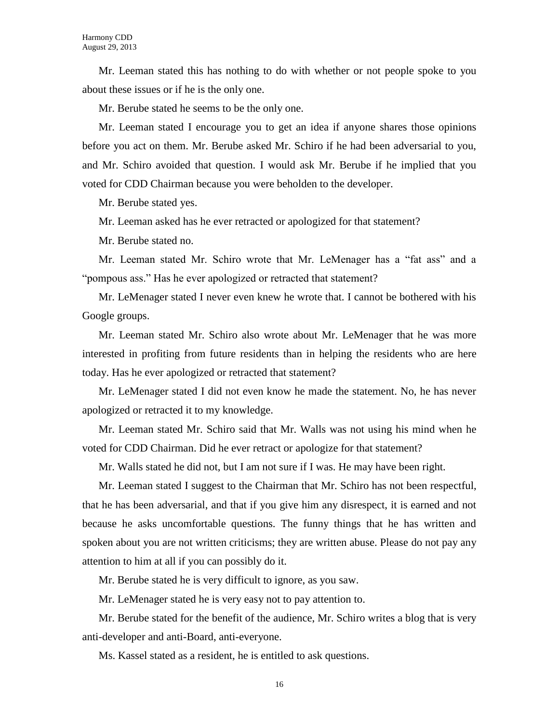Mr. Leeman stated this has nothing to do with whether or not people spoke to you about these issues or if he is the only one.

Mr. Berube stated he seems to be the only one.

Mr. Leeman stated I encourage you to get an idea if anyone shares those opinions before you act on them. Mr. Berube asked Mr. Schiro if he had been adversarial to you, and Mr. Schiro avoided that question. I would ask Mr. Berube if he implied that you voted for CDD Chairman because you were beholden to the developer.

Mr. Berube stated yes.

Mr. Leeman asked has he ever retracted or apologized for that statement?

Mr. Berube stated no.

Mr. Leeman stated Mr. Schiro wrote that Mr. LeMenager has a "fat ass" and a "pompous ass." Has he ever apologized or retracted that statement?

Mr. LeMenager stated I never even knew he wrote that. I cannot be bothered with his Google groups.

Mr. Leeman stated Mr. Schiro also wrote about Mr. LeMenager that he was more interested in profiting from future residents than in helping the residents who are here today. Has he ever apologized or retracted that statement?

Mr. LeMenager stated I did not even know he made the statement. No, he has never apologized or retracted it to my knowledge.

Mr. Leeman stated Mr. Schiro said that Mr. Walls was not using his mind when he voted for CDD Chairman. Did he ever retract or apologize for that statement?

Mr. Walls stated he did not, but I am not sure if I was. He may have been right.

Mr. Leeman stated I suggest to the Chairman that Mr. Schiro has not been respectful, that he has been adversarial, and that if you give him any disrespect, it is earned and not because he asks uncomfortable questions. The funny things that he has written and spoken about you are not written criticisms; they are written abuse. Please do not pay any attention to him at all if you can possibly do it.

Mr. Berube stated he is very difficult to ignore, as you saw.

Mr. LeMenager stated he is very easy not to pay attention to.

Mr. Berube stated for the benefit of the audience, Mr. Schiro writes a blog that is very anti-developer and anti-Board, anti-everyone.

Ms. Kassel stated as a resident, he is entitled to ask questions.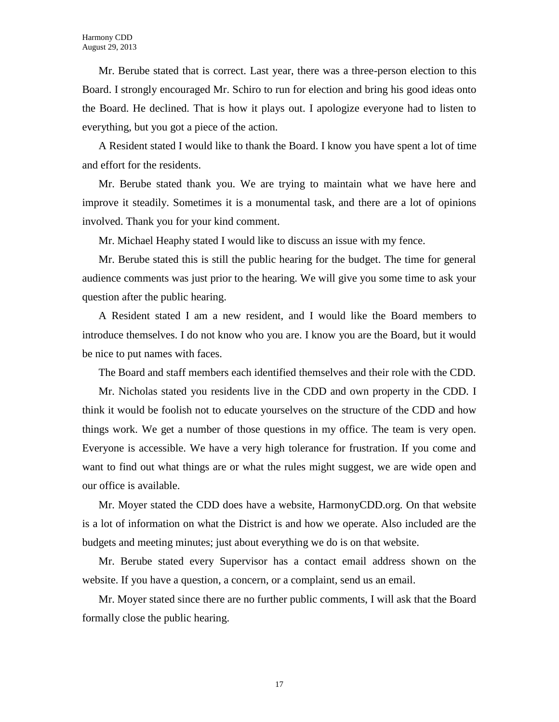Mr. Berube stated that is correct. Last year, there was a three-person election to this Board. I strongly encouraged Mr. Schiro to run for election and bring his good ideas onto the Board. He declined. That is how it plays out. I apologize everyone had to listen to everything, but you got a piece of the action.

A Resident stated I would like to thank the Board. I know you have spent a lot of time and effort for the residents.

Mr. Berube stated thank you. We are trying to maintain what we have here and improve it steadily. Sometimes it is a monumental task, and there are a lot of opinions involved. Thank you for your kind comment.

Mr. Michael Heaphy stated I would like to discuss an issue with my fence.

Mr. Berube stated this is still the public hearing for the budget. The time for general audience comments was just prior to the hearing. We will give you some time to ask your question after the public hearing.

A Resident stated I am a new resident, and I would like the Board members to introduce themselves. I do not know who you are. I know you are the Board, but it would be nice to put names with faces.

The Board and staff members each identified themselves and their role with the CDD.

Mr. Nicholas stated you residents live in the CDD and own property in the CDD. I think it would be foolish not to educate yourselves on the structure of the CDD and how things work. We get a number of those questions in my office. The team is very open. Everyone is accessible. We have a very high tolerance for frustration. If you come and want to find out what things are or what the rules might suggest, we are wide open and our office is available.

Mr. Moyer stated the CDD does have a website, HarmonyCDD.org. On that website is a lot of information on what the District is and how we operate. Also included are the budgets and meeting minutes; just about everything we do is on that website.

Mr. Berube stated every Supervisor has a contact email address shown on the website. If you have a question, a concern, or a complaint, send us an email.

Mr. Moyer stated since there are no further public comments, I will ask that the Board formally close the public hearing.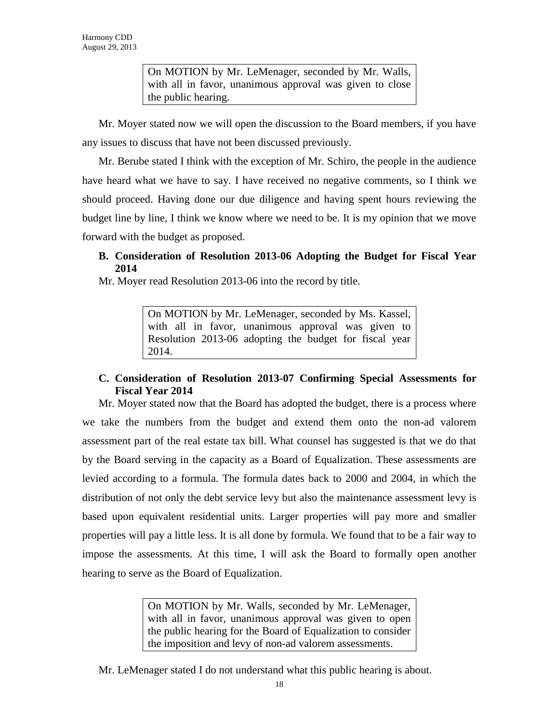On MOTION by Mr. LeMenager, seconded by Mr. Walls, with all in favor, unanimous approval was given to close the public hearing.

Mr. Moyer stated now we will open the discussion to the Board members, if you have any issues to discuss that have not been discussed previously.

Mr. Berube stated I think with the exception of Mr. Schiro, the people in the audience have heard what we have to say. I have received no negative comments, so I think we should proceed. Having done our due diligence and having spent hours reviewing the budget line by line, I think we know where we need to be. It is my opinion that we move forward with the budget as proposed.

**B. Consideration of Resolution 2013-06 Adopting the Budget for Fiscal Year 2014** 

Mr. Moyer read Resolution 2013-06 into the record by title.

On MOTION by Mr. LeMenager, seconded by Ms. Kassel, with all in favor, unanimous approval was given to Resolution 2013-06 adopting the budget for fiscal year 2014.

## **C. Consideration of Resolution 2013-07 Confirming Special Assessments for Fiscal Year 2014**

Mr. Moyer stated now that the Board has adopted the budget, there is a process where we take the numbers from the budget and extend them onto the non-ad valorem assessment part of the real estate tax bill. What counsel has suggested is that we do that by the Board serving in the capacity as a Board of Equalization. These assessments are levied according to a formula. The formula dates back to 2000 and 2004, in which the distribution of not only the debt service levy but also the maintenance assessment levy is based upon equivalent residential units. Larger properties will pay more and smaller properties will pay a little less. It is all done by formula. We found that to be a fair way to impose the assessments. At this time, I will ask the Board to formally open another hearing to serve as the Board of Equalization.

> On MOTION by Mr. Walls, seconded by Mr. LeMenager, with all in favor, unanimous approval was given to open the public hearing for the Board of Equalization to consider the imposition and levy of non-ad valorem assessments.

Mr. LeMenager stated I do not understand what this public hearing is about.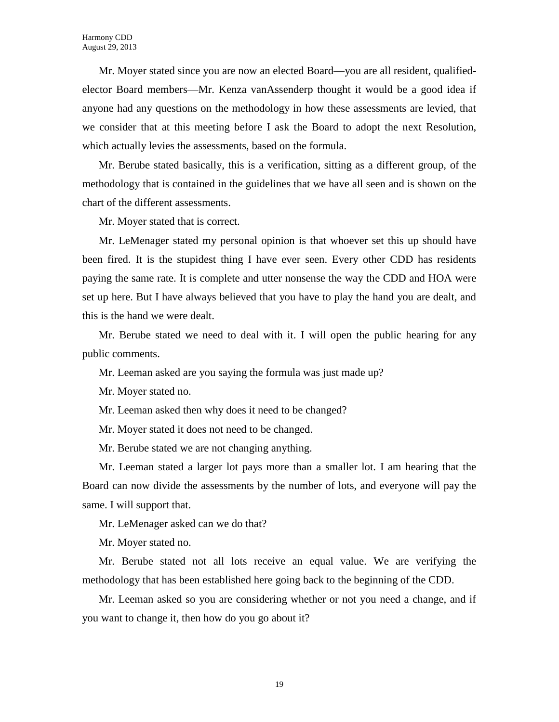Mr. Moyer stated since you are now an elected Board—you are all resident, qualifiedelector Board members—Mr. Kenza vanAssenderp thought it would be a good idea if anyone had any questions on the methodology in how these assessments are levied, that we consider that at this meeting before I ask the Board to adopt the next Resolution, which actually levies the assessments, based on the formula.

Mr. Berube stated basically, this is a verification, sitting as a different group, of the methodology that is contained in the guidelines that we have all seen and is shown on the chart of the different assessments.

Mr. Moyer stated that is correct.

Mr. LeMenager stated my personal opinion is that whoever set this up should have been fired. It is the stupidest thing I have ever seen. Every other CDD has residents paying the same rate. It is complete and utter nonsense the way the CDD and HOA were set up here. But I have always believed that you have to play the hand you are dealt, and this is the hand we were dealt.

Mr. Berube stated we need to deal with it. I will open the public hearing for any public comments.

Mr. Leeman asked are you saying the formula was just made up?

Mr. Moyer stated no.

Mr. Leeman asked then why does it need to be changed?

Mr. Moyer stated it does not need to be changed.

Mr. Berube stated we are not changing anything.

Mr. Leeman stated a larger lot pays more than a smaller lot. I am hearing that the Board can now divide the assessments by the number of lots, and everyone will pay the same. I will support that.

Mr. LeMenager asked can we do that?

Mr. Moyer stated no.

Mr. Berube stated not all lots receive an equal value. We are verifying the methodology that has been established here going back to the beginning of the CDD.

Mr. Leeman asked so you are considering whether or not you need a change, and if you want to change it, then how do you go about it?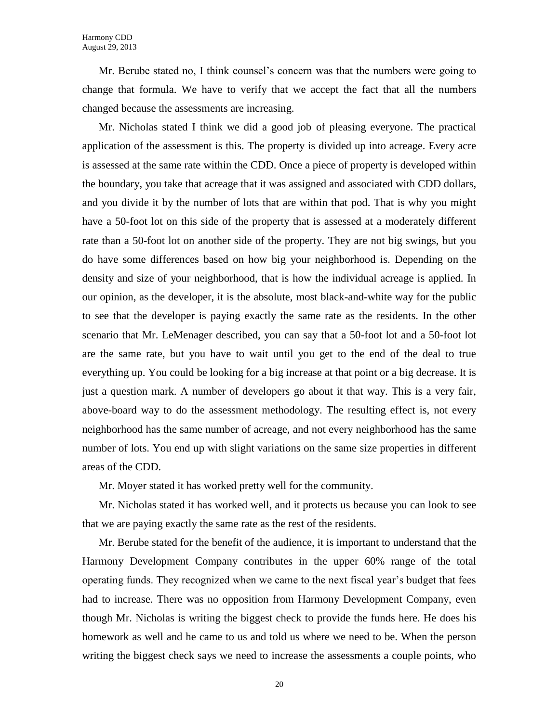Mr. Berube stated no, I think counsel's concern was that the numbers were going to change that formula. We have to verify that we accept the fact that all the numbers changed because the assessments are increasing.

Mr. Nicholas stated I think we did a good job of pleasing everyone. The practical application of the assessment is this. The property is divided up into acreage. Every acre is assessed at the same rate within the CDD. Once a piece of property is developed within the boundary, you take that acreage that it was assigned and associated with CDD dollars, and you divide it by the number of lots that are within that pod. That is why you might have a 50-foot lot on this side of the property that is assessed at a moderately different rate than a 50-foot lot on another side of the property. They are not big swings, but you do have some differences based on how big your neighborhood is. Depending on the density and size of your neighborhood, that is how the individual acreage is applied. In our opinion, as the developer, it is the absolute, most black-and-white way for the public to see that the developer is paying exactly the same rate as the residents. In the other scenario that Mr. LeMenager described, you can say that a 50-foot lot and a 50-foot lot are the same rate, but you have to wait until you get to the end of the deal to true everything up. You could be looking for a big increase at that point or a big decrease. It is just a question mark. A number of developers go about it that way. This is a very fair, above-board way to do the assessment methodology. The resulting effect is, not every neighborhood has the same number of acreage, and not every neighborhood has the same number of lots. You end up with slight variations on the same size properties in different areas of the CDD.

Mr. Moyer stated it has worked pretty well for the community.

Mr. Nicholas stated it has worked well, and it protects us because you can look to see that we are paying exactly the same rate as the rest of the residents.

Mr. Berube stated for the benefit of the audience, it is important to understand that the Harmony Development Company contributes in the upper 60% range of the total operating funds. They recognized when we came to the next fiscal year's budget that fees had to increase. There was no opposition from Harmony Development Company, even though Mr. Nicholas is writing the biggest check to provide the funds here. He does his homework as well and he came to us and told us where we need to be. When the person writing the biggest check says we need to increase the assessments a couple points, who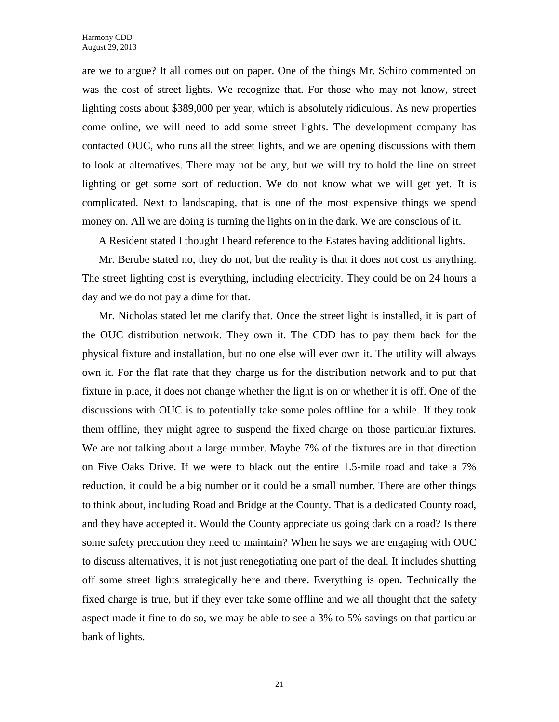are we to argue? It all comes out on paper. One of the things Mr. Schiro commented on was the cost of street lights. We recognize that. For those who may not know, street lighting costs about \$389,000 per year, which is absolutely ridiculous. As new properties come online, we will need to add some street lights. The development company has contacted OUC, who runs all the street lights, and we are opening discussions with them to look at alternatives. There may not be any, but we will try to hold the line on street lighting or get some sort of reduction. We do not know what we will get yet. It is complicated. Next to landscaping, that is one of the most expensive things we spend money on. All we are doing is turning the lights on in the dark. We are conscious of it.

A Resident stated I thought I heard reference to the Estates having additional lights.

Mr. Berube stated no, they do not, but the reality is that it does not cost us anything. The street lighting cost is everything, including electricity. They could be on 24 hours a day and we do not pay a dime for that.

Mr. Nicholas stated let me clarify that. Once the street light is installed, it is part of the OUC distribution network. They own it. The CDD has to pay them back for the physical fixture and installation, but no one else will ever own it. The utility will always own it. For the flat rate that they charge us for the distribution network and to put that fixture in place, it does not change whether the light is on or whether it is off. One of the discussions with OUC is to potentially take some poles offline for a while. If they took them offline, they might agree to suspend the fixed charge on those particular fixtures. We are not talking about a large number. Maybe 7% of the fixtures are in that direction on Five Oaks Drive. If we were to black out the entire 1.5-mile road and take a 7% reduction, it could be a big number or it could be a small number. There are other things to think about, including Road and Bridge at the County. That is a dedicated County road, and they have accepted it. Would the County appreciate us going dark on a road? Is there some safety precaution they need to maintain? When he says we are engaging with OUC to discuss alternatives, it is not just renegotiating one part of the deal. It includes shutting off some street lights strategically here and there. Everything is open. Technically the fixed charge is true, but if they ever take some offline and we all thought that the safety aspect made it fine to do so, we may be able to see a 3% to 5% savings on that particular bank of lights.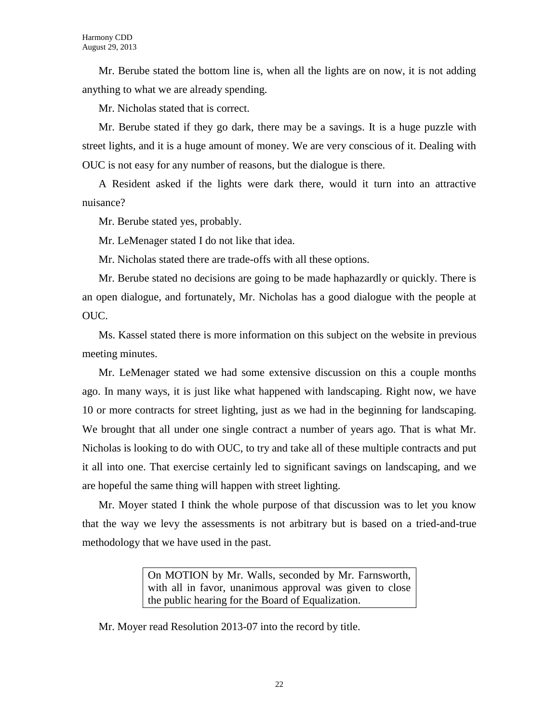Mr. Berube stated the bottom line is, when all the lights are on now, it is not adding anything to what we are already spending.

Mr. Nicholas stated that is correct.

Mr. Berube stated if they go dark, there may be a savings. It is a huge puzzle with street lights, and it is a huge amount of money. We are very conscious of it. Dealing with OUC is not easy for any number of reasons, but the dialogue is there.

A Resident asked if the lights were dark there, would it turn into an attractive nuisance?

Mr. Berube stated yes, probably.

Mr. LeMenager stated I do not like that idea.

Mr. Nicholas stated there are trade-offs with all these options.

Mr. Berube stated no decisions are going to be made haphazardly or quickly. There is an open dialogue, and fortunately, Mr. Nicholas has a good dialogue with the people at OUC.

Ms. Kassel stated there is more information on this subject on the website in previous meeting minutes.

Mr. LeMenager stated we had some extensive discussion on this a couple months ago. In many ways, it is just like what happened with landscaping. Right now, we have 10 or more contracts for street lighting, just as we had in the beginning for landscaping. We brought that all under one single contract a number of years ago. That is what Mr. Nicholas is looking to do with OUC, to try and take all of these multiple contracts and put it all into one. That exercise certainly led to significant savings on landscaping, and we are hopeful the same thing will happen with street lighting.

Mr. Moyer stated I think the whole purpose of that discussion was to let you know that the way we levy the assessments is not arbitrary but is based on a tried-and-true methodology that we have used in the past.

> On MOTION by Mr. Walls, seconded by Mr. Farnsworth, with all in favor, unanimous approval was given to close the public hearing for the Board of Equalization.

Mr. Moyer read Resolution 2013-07 into the record by title.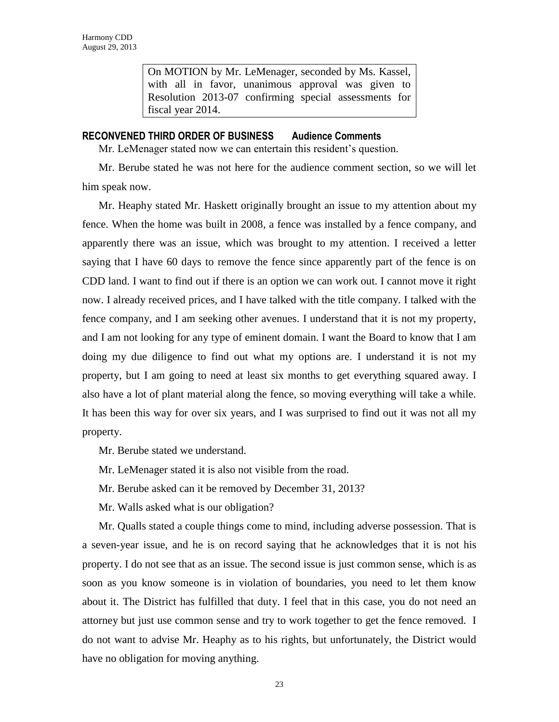On MOTION by Mr. LeMenager, seconded by Ms. Kassel, with all in favor, unanimous approval was given to Resolution 2013-07 confirming special assessments for fiscal year 2014.

### **RECONVENED THIRD ORDER OF BUSINESS Audience Comments**

Mr. LeMenager stated now we can entertain this resident's question.

Mr. Berube stated he was not here for the audience comment section, so we will let him speak now.

Mr. Heaphy stated Mr. Haskett originally brought an issue to my attention about my fence. When the home was built in 2008, a fence was installed by a fence company, and apparently there was an issue, which was brought to my attention. I received a letter saying that I have 60 days to remove the fence since apparently part of the fence is on CDD land. I want to find out if there is an option we can work out. I cannot move it right now. I already received prices, and I have talked with the title company. I talked with the fence company, and I am seeking other avenues. I understand that it is not my property, and I am not looking for any type of eminent domain. I want the Board to know that I am doing my due diligence to find out what my options are. I understand it is not my property, but I am going to need at least six months to get everything squared away. I also have a lot of plant material along the fence, so moving everything will take a while. It has been this way for over six years, and I was surprised to find out it was not all my property.

Mr. Berube stated we understand.

- Mr. LeMenager stated it is also not visible from the road.
- Mr. Berube asked can it be removed by December 31, 2013?
- Mr. Walls asked what is our obligation?

Mr. Qualls stated a couple things come to mind, including adverse possession. That is a seven-year issue, and he is on record saying that he acknowledges that it is not his property. I do not see that as an issue. The second issue is just common sense, which is as soon as you know someone is in violation of boundaries, you need to let them know about it. The District has fulfilled that duty. I feel that in this case, you do not need an attorney but just use common sense and try to work together to get the fence removed. I do not want to advise Mr. Heaphy as to his rights, but unfortunately, the District would have no obligation for moving anything.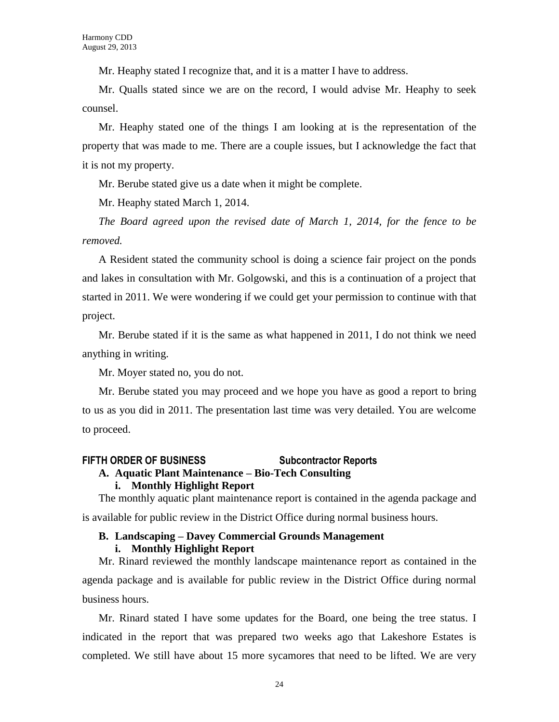Mr. Heaphy stated I recognize that, and it is a matter I have to address.

Mr. Qualls stated since we are on the record, I would advise Mr. Heaphy to seek counsel.

Mr. Heaphy stated one of the things I am looking at is the representation of the property that was made to me. There are a couple issues, but I acknowledge the fact that it is not my property.

Mr. Berube stated give us a date when it might be complete.

Mr. Heaphy stated March 1, 2014.

*The Board agreed upon the revised date of March 1, 2014, for the fence to be removed.*

A Resident stated the community school is doing a science fair project on the ponds and lakes in consultation with Mr. Golgowski, and this is a continuation of a project that started in 2011. We were wondering if we could get your permission to continue with that project.

Mr. Berube stated if it is the same as what happened in 2011, I do not think we need anything in writing.

Mr. Moyer stated no, you do not.

Mr. Berube stated you may proceed and we hope you have as good a report to bring to us as you did in 2011. The presentation last time was very detailed. You are welcome to proceed.

### **FIFTH ORDER OF BUSINESS Subcontractor Reports**

#### **A. Aquatic Plant Maintenance – Bio-Tech Consulting**

#### **i. Monthly Highlight Report**

The monthly aquatic plant maintenance report is contained in the agenda package and is available for public review in the District Office during normal business hours.

## **B. Landscaping – Davey Commercial Grounds Management**

#### **i. Monthly Highlight Report**

Mr. Rinard reviewed the monthly landscape maintenance report as contained in the agenda package and is available for public review in the District Office during normal business hours.

Mr. Rinard stated I have some updates for the Board, one being the tree status. I indicated in the report that was prepared two weeks ago that Lakeshore Estates is completed. We still have about 15 more sycamores that need to be lifted. We are very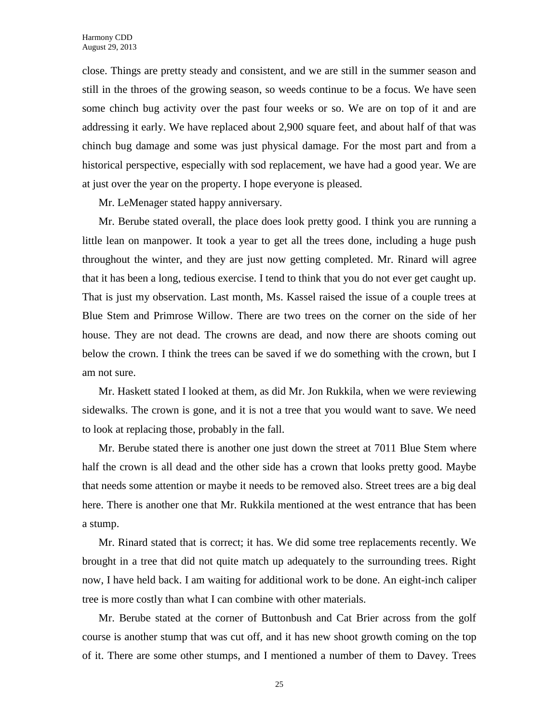close. Things are pretty steady and consistent, and we are still in the summer season and still in the throes of the growing season, so weeds continue to be a focus. We have seen some chinch bug activity over the past four weeks or so. We are on top of it and are addressing it early. We have replaced about 2,900 square feet, and about half of that was chinch bug damage and some was just physical damage. For the most part and from a historical perspective, especially with sod replacement, we have had a good year. We are at just over the year on the property. I hope everyone is pleased.

Mr. LeMenager stated happy anniversary.

Mr. Berube stated overall, the place does look pretty good. I think you are running a little lean on manpower. It took a year to get all the trees done, including a huge push throughout the winter, and they are just now getting completed. Mr. Rinard will agree that it has been a long, tedious exercise. I tend to think that you do not ever get caught up. That is just my observation. Last month, Ms. Kassel raised the issue of a couple trees at Blue Stem and Primrose Willow. There are two trees on the corner on the side of her house. They are not dead. The crowns are dead, and now there are shoots coming out below the crown. I think the trees can be saved if we do something with the crown, but I am not sure.

Mr. Haskett stated I looked at them, as did Mr. Jon Rukkila, when we were reviewing sidewalks. The crown is gone, and it is not a tree that you would want to save. We need to look at replacing those, probably in the fall.

Mr. Berube stated there is another one just down the street at 7011 Blue Stem where half the crown is all dead and the other side has a crown that looks pretty good. Maybe that needs some attention or maybe it needs to be removed also. Street trees are a big deal here. There is another one that Mr. Rukkila mentioned at the west entrance that has been a stump.

Mr. Rinard stated that is correct; it has. We did some tree replacements recently. We brought in a tree that did not quite match up adequately to the surrounding trees. Right now, I have held back. I am waiting for additional work to be done. An eight-inch caliper tree is more costly than what I can combine with other materials.

Mr. Berube stated at the corner of Buttonbush and Cat Brier across from the golf course is another stump that was cut off, and it has new shoot growth coming on the top of it. There are some other stumps, and I mentioned a number of them to Davey. Trees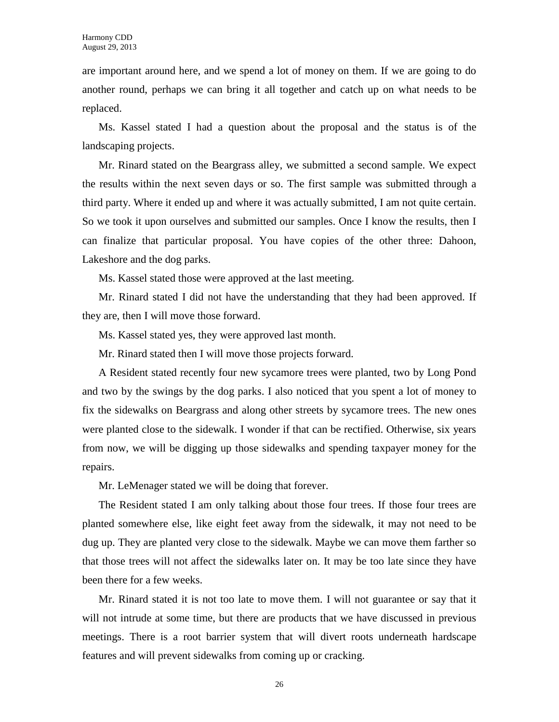are important around here, and we spend a lot of money on them. If we are going to do another round, perhaps we can bring it all together and catch up on what needs to be replaced.

Ms. Kassel stated I had a question about the proposal and the status is of the landscaping projects.

Mr. Rinard stated on the Beargrass alley, we submitted a second sample. We expect the results within the next seven days or so. The first sample was submitted through a third party. Where it ended up and where it was actually submitted, I am not quite certain. So we took it upon ourselves and submitted our samples. Once I know the results, then I can finalize that particular proposal. You have copies of the other three: Dahoon, Lakeshore and the dog parks.

Ms. Kassel stated those were approved at the last meeting.

Mr. Rinard stated I did not have the understanding that they had been approved. If they are, then I will move those forward.

Ms. Kassel stated yes, they were approved last month.

Mr. Rinard stated then I will move those projects forward.

A Resident stated recently four new sycamore trees were planted, two by Long Pond and two by the swings by the dog parks. I also noticed that you spent a lot of money to fix the sidewalks on Beargrass and along other streets by sycamore trees. The new ones were planted close to the sidewalk. I wonder if that can be rectified. Otherwise, six years from now, we will be digging up those sidewalks and spending taxpayer money for the repairs.

Mr. LeMenager stated we will be doing that forever.

The Resident stated I am only talking about those four trees. If those four trees are planted somewhere else, like eight feet away from the sidewalk, it may not need to be dug up. They are planted very close to the sidewalk. Maybe we can move them farther so that those trees will not affect the sidewalks later on. It may be too late since they have been there for a few weeks.

Mr. Rinard stated it is not too late to move them. I will not guarantee or say that it will not intrude at some time, but there are products that we have discussed in previous meetings. There is a root barrier system that will divert roots underneath hardscape features and will prevent sidewalks from coming up or cracking.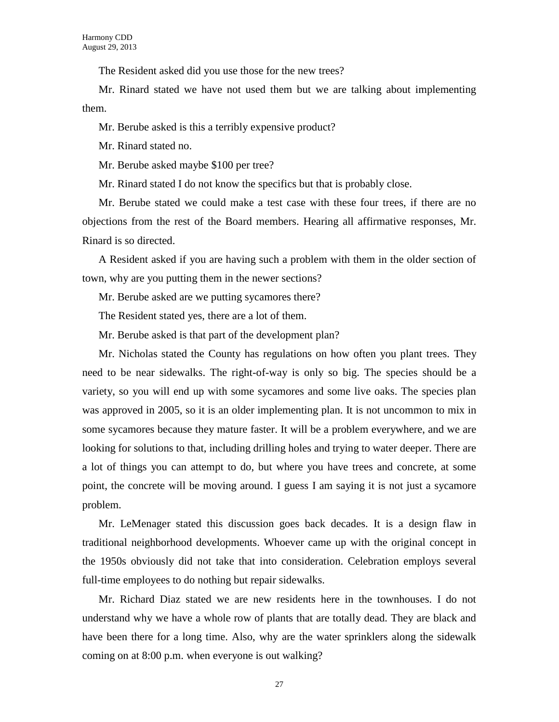The Resident asked did you use those for the new trees?

Mr. Rinard stated we have not used them but we are talking about implementing them.

Mr. Berube asked is this a terribly expensive product?

Mr. Rinard stated no.

Mr. Berube asked maybe \$100 per tree?

Mr. Rinard stated I do not know the specifics but that is probably close.

Mr. Berube stated we could make a test case with these four trees, if there are no objections from the rest of the Board members. Hearing all affirmative responses, Mr. Rinard is so directed.

A Resident asked if you are having such a problem with them in the older section of town, why are you putting them in the newer sections?

Mr. Berube asked are we putting sycamores there?

The Resident stated yes, there are a lot of them.

Mr. Berube asked is that part of the development plan?

Mr. Nicholas stated the County has regulations on how often you plant trees. They need to be near sidewalks. The right-of-way is only so big. The species should be a variety, so you will end up with some sycamores and some live oaks. The species plan was approved in 2005, so it is an older implementing plan. It is not uncommon to mix in some sycamores because they mature faster. It will be a problem everywhere, and we are looking for solutions to that, including drilling holes and trying to water deeper. There are a lot of things you can attempt to do, but where you have trees and concrete, at some point, the concrete will be moving around. I guess I am saying it is not just a sycamore problem.

Mr. LeMenager stated this discussion goes back decades. It is a design flaw in traditional neighborhood developments. Whoever came up with the original concept in the 1950s obviously did not take that into consideration. Celebration employs several full-time employees to do nothing but repair sidewalks.

Mr. Richard Diaz stated we are new residents here in the townhouses. I do not understand why we have a whole row of plants that are totally dead. They are black and have been there for a long time. Also, why are the water sprinklers along the sidewalk coming on at 8:00 p.m. when everyone is out walking?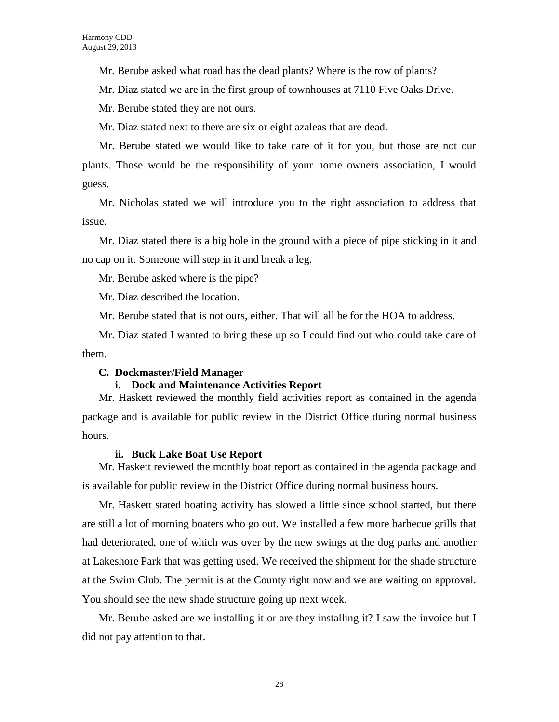Mr. Berube asked what road has the dead plants? Where is the row of plants?

Mr. Diaz stated we are in the first group of townhouses at 7110 Five Oaks Drive.

Mr. Berube stated they are not ours.

Mr. Diaz stated next to there are six or eight azaleas that are dead.

Mr. Berube stated we would like to take care of it for you, but those are not our plants. Those would be the responsibility of your home owners association, I would guess.

Mr. Nicholas stated we will introduce you to the right association to address that issue.

Mr. Diaz stated there is a big hole in the ground with a piece of pipe sticking in it and no cap on it. Someone will step in it and break a leg.

Mr. Berube asked where is the pipe?

Mr. Diaz described the location.

Mr. Berube stated that is not ours, either. That will all be for the HOA to address.

Mr. Diaz stated I wanted to bring these up so I could find out who could take care of them.

#### **C. Dockmaster/Field Manager**

#### **i. Dock and Maintenance Activities Report**

Mr. Haskett reviewed the monthly field activities report as contained in the agenda package and is available for public review in the District Office during normal business hours.

#### **ii. Buck Lake Boat Use Report**

Mr. Haskett reviewed the monthly boat report as contained in the agenda package and is available for public review in the District Office during normal business hours.

Mr. Haskett stated boating activity has slowed a little since school started, but there are still a lot of morning boaters who go out. We installed a few more barbecue grills that had deteriorated, one of which was over by the new swings at the dog parks and another at Lakeshore Park that was getting used. We received the shipment for the shade structure at the Swim Club. The permit is at the County right now and we are waiting on approval. You should see the new shade structure going up next week.

Mr. Berube asked are we installing it or are they installing it? I saw the invoice but I did not pay attention to that.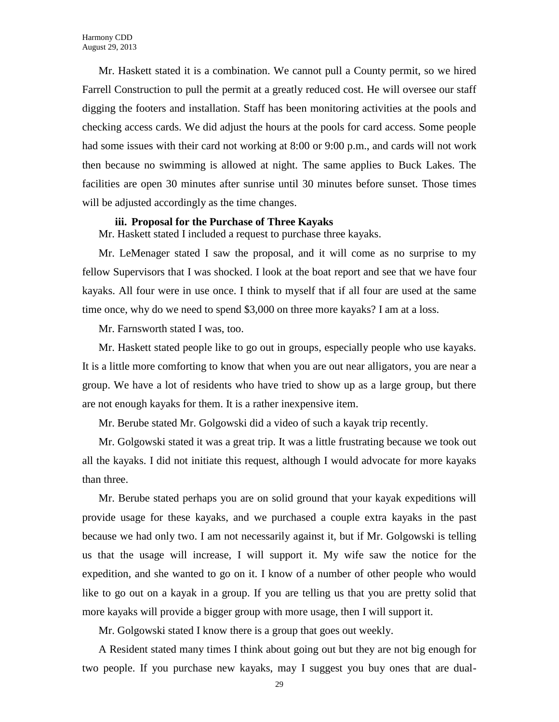Mr. Haskett stated it is a combination. We cannot pull a County permit, so we hired Farrell Construction to pull the permit at a greatly reduced cost. He will oversee our staff digging the footers and installation. Staff has been monitoring activities at the pools and checking access cards. We did adjust the hours at the pools for card access. Some people had some issues with their card not working at 8:00 or 9:00 p.m., and cards will not work then because no swimming is allowed at night. The same applies to Buck Lakes. The facilities are open 30 minutes after sunrise until 30 minutes before sunset. Those times will be adjusted accordingly as the time changes.

#### **iii. Proposal for the Purchase of Three Kayaks**

Mr. Haskett stated I included a request to purchase three kayaks.

Mr. LeMenager stated I saw the proposal, and it will come as no surprise to my fellow Supervisors that I was shocked. I look at the boat report and see that we have four kayaks. All four were in use once. I think to myself that if all four are used at the same time once, why do we need to spend \$3,000 on three more kayaks? I am at a loss.

Mr. Farnsworth stated I was, too.

Mr. Haskett stated people like to go out in groups, especially people who use kayaks. It is a little more comforting to know that when you are out near alligators, you are near a group. We have a lot of residents who have tried to show up as a large group, but there are not enough kayaks for them. It is a rather inexpensive item.

Mr. Berube stated Mr. Golgowski did a video of such a kayak trip recently.

Mr. Golgowski stated it was a great trip. It was a little frustrating because we took out all the kayaks. I did not initiate this request, although I would advocate for more kayaks than three.

Mr. Berube stated perhaps you are on solid ground that your kayak expeditions will provide usage for these kayaks, and we purchased a couple extra kayaks in the past because we had only two. I am not necessarily against it, but if Mr. Golgowski is telling us that the usage will increase, I will support it. My wife saw the notice for the expedition, and she wanted to go on it. I know of a number of other people who would like to go out on a kayak in a group. If you are telling us that you are pretty solid that more kayaks will provide a bigger group with more usage, then I will support it.

Mr. Golgowski stated I know there is a group that goes out weekly.

A Resident stated many times I think about going out but they are not big enough for two people. If you purchase new kayaks, may I suggest you buy ones that are dual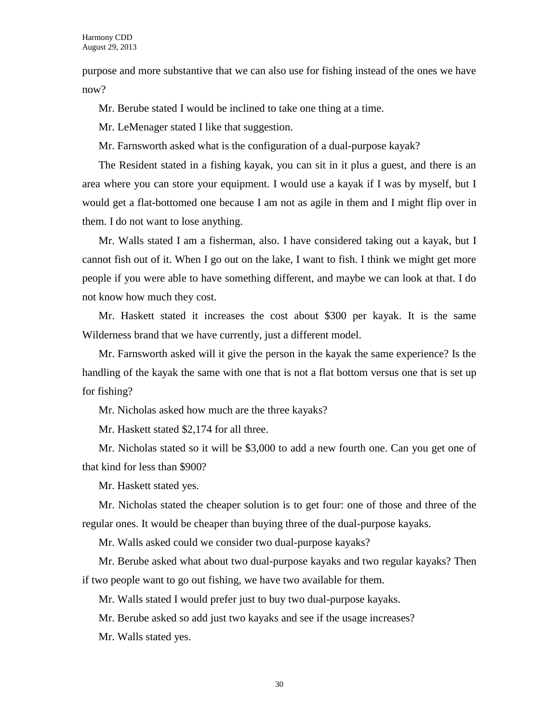purpose and more substantive that we can also use for fishing instead of the ones we have now?

Mr. Berube stated I would be inclined to take one thing at a time.

Mr. LeMenager stated I like that suggestion.

Mr. Farnsworth asked what is the configuration of a dual-purpose kayak?

The Resident stated in a fishing kayak, you can sit in it plus a guest, and there is an area where you can store your equipment. I would use a kayak if I was by myself, but I would get a flat-bottomed one because I am not as agile in them and I might flip over in them. I do not want to lose anything.

Mr. Walls stated I am a fisherman, also. I have considered taking out a kayak, but I cannot fish out of it. When I go out on the lake, I want to fish. I think we might get more people if you were able to have something different, and maybe we can look at that. I do not know how much they cost.

Mr. Haskett stated it increases the cost about \$300 per kayak. It is the same Wilderness brand that we have currently, just a different model.

Mr. Farnsworth asked will it give the person in the kayak the same experience? Is the handling of the kayak the same with one that is not a flat bottom versus one that is set up for fishing?

Mr. Nicholas asked how much are the three kayaks?

Mr. Haskett stated \$2,174 for all three.

Mr. Nicholas stated so it will be \$3,000 to add a new fourth one. Can you get one of that kind for less than \$900?

Mr. Haskett stated yes.

Mr. Nicholas stated the cheaper solution is to get four: one of those and three of the regular ones. It would be cheaper than buying three of the dual-purpose kayaks.

Mr. Walls asked could we consider two dual-purpose kayaks?

Mr. Berube asked what about two dual-purpose kayaks and two regular kayaks? Then if two people want to go out fishing, we have two available for them.

Mr. Walls stated I would prefer just to buy two dual-purpose kayaks.

Mr. Berube asked so add just two kayaks and see if the usage increases?

Mr. Walls stated yes.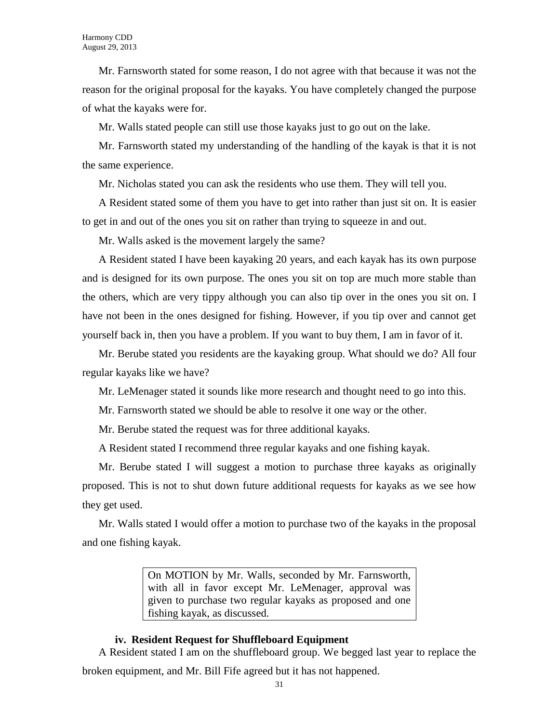Mr. Farnsworth stated for some reason, I do not agree with that because it was not the reason for the original proposal for the kayaks. You have completely changed the purpose of what the kayaks were for.

Mr. Walls stated people can still use those kayaks just to go out on the lake.

Mr. Farnsworth stated my understanding of the handling of the kayak is that it is not the same experience.

Mr. Nicholas stated you can ask the residents who use them. They will tell you.

A Resident stated some of them you have to get into rather than just sit on. It is easier to get in and out of the ones you sit on rather than trying to squeeze in and out.

Mr. Walls asked is the movement largely the same?

A Resident stated I have been kayaking 20 years, and each kayak has its own purpose and is designed for its own purpose. The ones you sit on top are much more stable than the others, which are very tippy although you can also tip over in the ones you sit on. I have not been in the ones designed for fishing. However, if you tip over and cannot get yourself back in, then you have a problem. If you want to buy them, I am in favor of it.

Mr. Berube stated you residents are the kayaking group. What should we do? All four regular kayaks like we have?

Mr. LeMenager stated it sounds like more research and thought need to go into this.

Mr. Farnsworth stated we should be able to resolve it one way or the other.

Mr. Berube stated the request was for three additional kayaks.

A Resident stated I recommend three regular kayaks and one fishing kayak.

Mr. Berube stated I will suggest a motion to purchase three kayaks as originally proposed. This is not to shut down future additional requests for kayaks as we see how they get used.

Mr. Walls stated I would offer a motion to purchase two of the kayaks in the proposal and one fishing kayak.

> On MOTION by Mr. Walls, seconded by Mr. Farnsworth, with all in favor except Mr. LeMenager, approval was given to purchase two regular kayaks as proposed and one fishing kayak, as discussed.

#### **iv. Resident Request for Shuffleboard Equipment**

A Resident stated I am on the shuffleboard group. We begged last year to replace the

broken equipment, and Mr. Bill Fife agreed but it has not happened.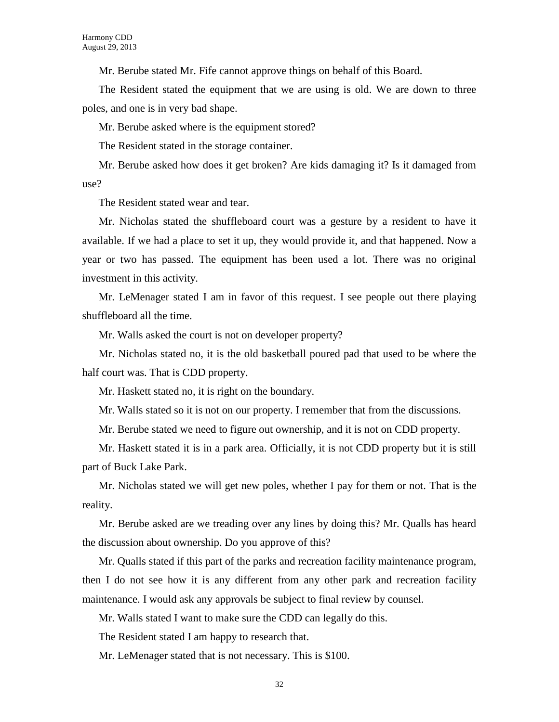Mr. Berube stated Mr. Fife cannot approve things on behalf of this Board.

The Resident stated the equipment that we are using is old. We are down to three poles, and one is in very bad shape.

Mr. Berube asked where is the equipment stored?

The Resident stated in the storage container.

Mr. Berube asked how does it get broken? Are kids damaging it? Is it damaged from use?

The Resident stated wear and tear.

Mr. Nicholas stated the shuffleboard court was a gesture by a resident to have it available. If we had a place to set it up, they would provide it, and that happened. Now a year or two has passed. The equipment has been used a lot. There was no original investment in this activity.

Mr. LeMenager stated I am in favor of this request. I see people out there playing shuffleboard all the time.

Mr. Walls asked the court is not on developer property?

Mr. Nicholas stated no, it is the old basketball poured pad that used to be where the half court was. That is CDD property.

Mr. Haskett stated no, it is right on the boundary.

Mr. Walls stated so it is not on our property. I remember that from the discussions.

Mr. Berube stated we need to figure out ownership, and it is not on CDD property.

Mr. Haskett stated it is in a park area. Officially, it is not CDD property but it is still part of Buck Lake Park.

Mr. Nicholas stated we will get new poles, whether I pay for them or not. That is the reality.

Mr. Berube asked are we treading over any lines by doing this? Mr. Qualls has heard the discussion about ownership. Do you approve of this?

Mr. Qualls stated if this part of the parks and recreation facility maintenance program, then I do not see how it is any different from any other park and recreation facility maintenance. I would ask any approvals be subject to final review by counsel.

Mr. Walls stated I want to make sure the CDD can legally do this.

The Resident stated I am happy to research that.

Mr. LeMenager stated that is not necessary. This is \$100.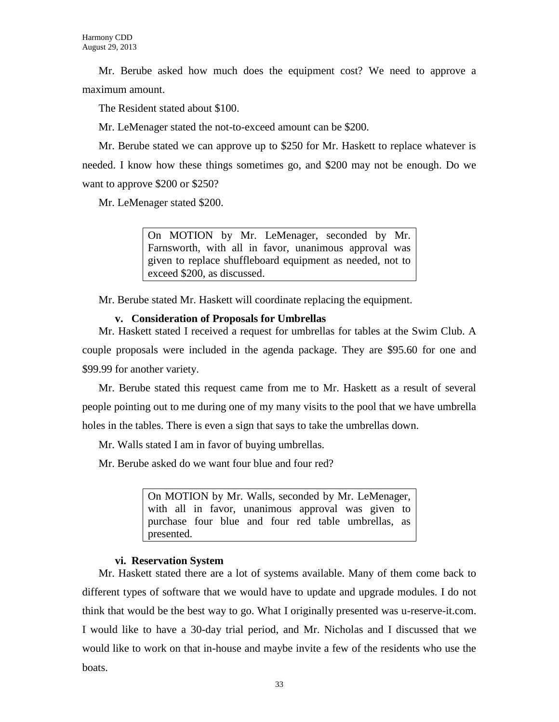Mr. Berube asked how much does the equipment cost? We need to approve a maximum amount.

The Resident stated about \$100.

Mr. LeMenager stated the not-to-exceed amount can be \$200.

Mr. Berube stated we can approve up to \$250 for Mr. Haskett to replace whatever is needed. I know how these things sometimes go, and \$200 may not be enough. Do we want to approve \$200 or \$250?

Mr. LeMenager stated \$200.

On MOTION by Mr. LeMenager, seconded by Mr. Farnsworth, with all in favor, unanimous approval was given to replace shuffleboard equipment as needed, not to exceed \$200, as discussed.

Mr. Berube stated Mr. Haskett will coordinate replacing the equipment.

## **v. Consideration of Proposals for Umbrellas**

Mr. Haskett stated I received a request for umbrellas for tables at the Swim Club. A couple proposals were included in the agenda package. They are \$95.60 for one and \$99.99 for another variety.

Mr. Berube stated this request came from me to Mr. Haskett as a result of several people pointing out to me during one of my many visits to the pool that we have umbrella holes in the tables. There is even a sign that says to take the umbrellas down.

Mr. Walls stated I am in favor of buying umbrellas.

Mr. Berube asked do we want four blue and four red?

On MOTION by Mr. Walls, seconded by Mr. LeMenager, with all in favor, unanimous approval was given to purchase four blue and four red table umbrellas, as presented.

## **vi. Reservation System**

Mr. Haskett stated there are a lot of systems available. Many of them come back to different types of software that we would have to update and upgrade modules. I do not think that would be the best way to go. What I originally presented was u-reserve-it.com. I would like to have a 30-day trial period, and Mr. Nicholas and I discussed that we would like to work on that in-house and maybe invite a few of the residents who use the boats.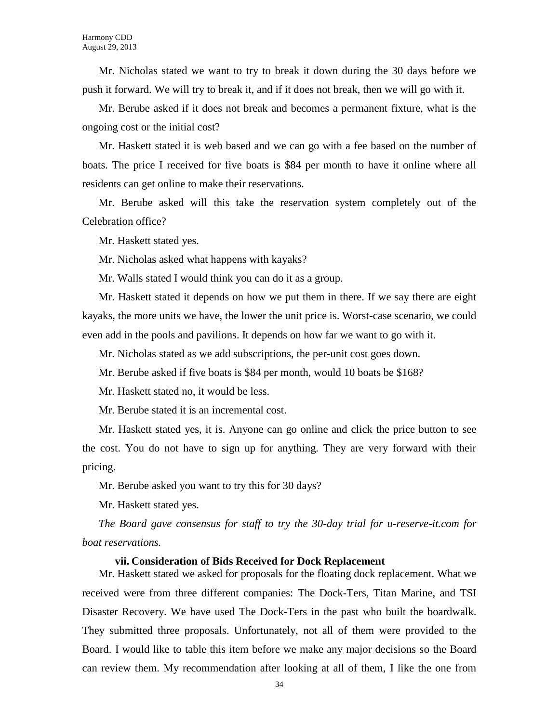Mr. Nicholas stated we want to try to break it down during the 30 days before we push it forward. We will try to break it, and if it does not break, then we will go with it.

Mr. Berube asked if it does not break and becomes a permanent fixture, what is the ongoing cost or the initial cost?

Mr. Haskett stated it is web based and we can go with a fee based on the number of boats. The price I received for five boats is \$84 per month to have it online where all residents can get online to make their reservations.

Mr. Berube asked will this take the reservation system completely out of the Celebration office?

Mr. Haskett stated yes.

Mr. Nicholas asked what happens with kayaks?

Mr. Walls stated I would think you can do it as a group.

Mr. Haskett stated it depends on how we put them in there. If we say there are eight kayaks, the more units we have, the lower the unit price is. Worst-case scenario, we could even add in the pools and pavilions. It depends on how far we want to go with it.

Mr. Nicholas stated as we add subscriptions, the per-unit cost goes down.

Mr. Berube asked if five boats is \$84 per month, would 10 boats be \$168?

Mr. Haskett stated no, it would be less.

Mr. Berube stated it is an incremental cost.

Mr. Haskett stated yes, it is. Anyone can go online and click the price button to see the cost. You do not have to sign up for anything. They are very forward with their pricing.

Mr. Berube asked you want to try this for 30 days?

Mr. Haskett stated yes.

*The Board gave consensus for staff to try the 30-day trial for u-reserve-it.com for boat reservations.*

#### **vii. Consideration of Bids Received for Dock Replacement**

Mr. Haskett stated we asked for proposals for the floating dock replacement. What we received were from three different companies: The Dock-Ters, Titan Marine, and TSI Disaster Recovery. We have used The Dock-Ters in the past who built the boardwalk. They submitted three proposals. Unfortunately, not all of them were provided to the Board. I would like to table this item before we make any major decisions so the Board can review them. My recommendation after looking at all of them, I like the one from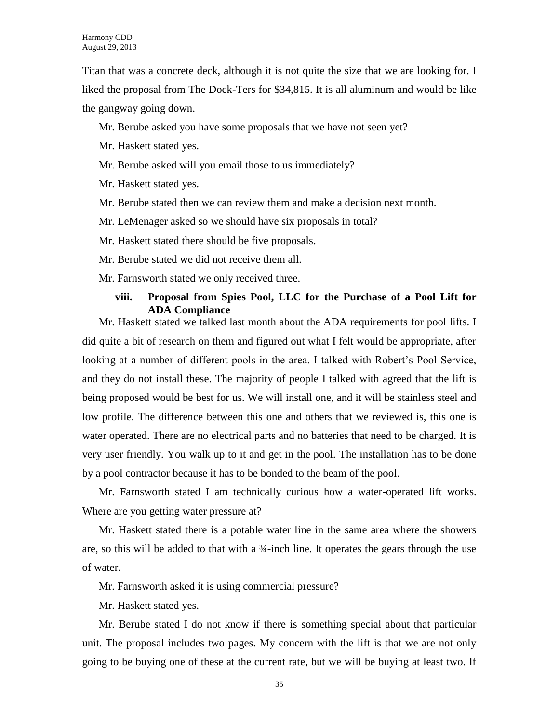Titan that was a concrete deck, although it is not quite the size that we are looking for. I liked the proposal from The Dock-Ters for \$34,815. It is all aluminum and would be like the gangway going down.

Mr. Berube asked you have some proposals that we have not seen yet?

Mr. Haskett stated yes.

Mr. Berube asked will you email those to us immediately?

Mr. Haskett stated yes.

Mr. Berube stated then we can review them and make a decision next month.

Mr. LeMenager asked so we should have six proposals in total?

Mr. Haskett stated there should be five proposals.

Mr. Berube stated we did not receive them all.

Mr. Farnsworth stated we only received three.

#### **viii. Proposal from Spies Pool, LLC for the Purchase of a Pool Lift for ADA Compliance**

Mr. Haskett stated we talked last month about the ADA requirements for pool lifts. I did quite a bit of research on them and figured out what I felt would be appropriate, after looking at a number of different pools in the area. I talked with Robert's Pool Service, and they do not install these. The majority of people I talked with agreed that the lift is being proposed would be best for us. We will install one, and it will be stainless steel and low profile. The difference between this one and others that we reviewed is, this one is water operated. There are no electrical parts and no batteries that need to be charged. It is very user friendly. You walk up to it and get in the pool. The installation has to be done by a pool contractor because it has to be bonded to the beam of the pool.

Mr. Farnsworth stated I am technically curious how a water-operated lift works. Where are you getting water pressure at?

Mr. Haskett stated there is a potable water line in the same area where the showers are, so this will be added to that with a ¾-inch line. It operates the gears through the use of water.

Mr. Farnsworth asked it is using commercial pressure?

Mr. Haskett stated yes.

Mr. Berube stated I do not know if there is something special about that particular unit. The proposal includes two pages. My concern with the lift is that we are not only going to be buying one of these at the current rate, but we will be buying at least two. If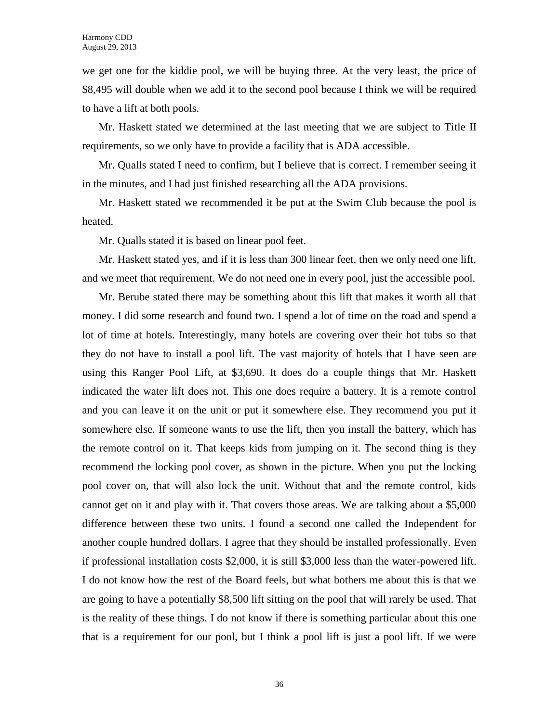we get one for the kiddie pool, we will be buying three. At the very least, the price of \$8,495 will double when we add it to the second pool because I think we will be required to have a lift at both pools.

Mr. Haskett stated we determined at the last meeting that we are subject to Title II requirements, so we only have to provide a facility that is ADA accessible.

Mr. Qualls stated I need to confirm, but I believe that is correct. I remember seeing it in the minutes, and I had just finished researching all the ADA provisions.

Mr. Haskett stated we recommended it be put at the Swim Club because the pool is heated.

Mr. Qualls stated it is based on linear pool feet.

Mr. Haskett stated yes, and if it is less than 300 linear feet, then we only need one lift, and we meet that requirement. We do not need one in every pool, just the accessible pool.

Mr. Berube stated there may be something about this lift that makes it worth all that money. I did some research and found two. I spend a lot of time on the road and spend a lot of time at hotels. Interestingly, many hotels are covering over their hot tubs so that they do not have to install a pool lift. The vast majority of hotels that I have seen are using this Ranger Pool Lift, at \$3,690. It does do a couple things that Mr. Haskett indicated the water lift does not. This one does require a battery. It is a remote control and you can leave it on the unit or put it somewhere else. They recommend you put it somewhere else. If someone wants to use the lift, then you install the battery, which has the remote control on it. That keeps kids from jumping on it. The second thing is they recommend the locking pool cover, as shown in the picture. When you put the locking pool cover on, that will also lock the unit. Without that and the remote control, kids cannot get on it and play with it. That covers those areas. We are talking about a \$5,000 difference between these two units. I found a second one called the Independent for another couple hundred dollars. I agree that they should be installed professionally. Even if professional installation costs \$2,000, it is still \$3,000 less than the water-powered lift. I do not know how the rest of the Board feels, but what bothers me about this is that we are going to have a potentially \$8,500 lift sitting on the pool that will rarely be used. That is the reality of these things. I do not know if there is something particular about this one that is a requirement for our pool, but I think a pool lift is just a pool lift. If we were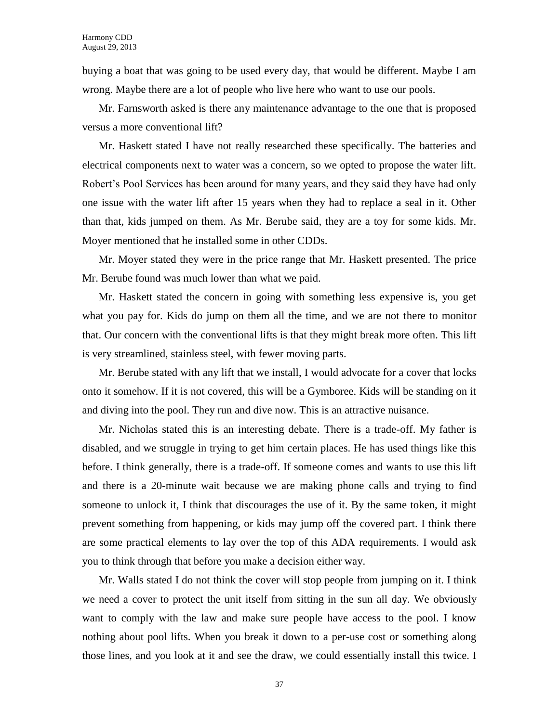buying a boat that was going to be used every day, that would be different. Maybe I am wrong. Maybe there are a lot of people who live here who want to use our pools.

Mr. Farnsworth asked is there any maintenance advantage to the one that is proposed versus a more conventional lift?

Mr. Haskett stated I have not really researched these specifically. The batteries and electrical components next to water was a concern, so we opted to propose the water lift. Robert's Pool Services has been around for many years, and they said they have had only one issue with the water lift after 15 years when they had to replace a seal in it. Other than that, kids jumped on them. As Mr. Berube said, they are a toy for some kids. Mr. Moyer mentioned that he installed some in other CDDs.

Mr. Moyer stated they were in the price range that Mr. Haskett presented. The price Mr. Berube found was much lower than what we paid.

Mr. Haskett stated the concern in going with something less expensive is, you get what you pay for. Kids do jump on them all the time, and we are not there to monitor that. Our concern with the conventional lifts is that they might break more often. This lift is very streamlined, stainless steel, with fewer moving parts.

Mr. Berube stated with any lift that we install, I would advocate for a cover that locks onto it somehow. If it is not covered, this will be a Gymboree. Kids will be standing on it and diving into the pool. They run and dive now. This is an attractive nuisance.

Mr. Nicholas stated this is an interesting debate. There is a trade-off. My father is disabled, and we struggle in trying to get him certain places. He has used things like this before. I think generally, there is a trade-off. If someone comes and wants to use this lift and there is a 20-minute wait because we are making phone calls and trying to find someone to unlock it, I think that discourages the use of it. By the same token, it might prevent something from happening, or kids may jump off the covered part. I think there are some practical elements to lay over the top of this ADA requirements. I would ask you to think through that before you make a decision either way.

Mr. Walls stated I do not think the cover will stop people from jumping on it. I think we need a cover to protect the unit itself from sitting in the sun all day. We obviously want to comply with the law and make sure people have access to the pool. I know nothing about pool lifts. When you break it down to a per-use cost or something along those lines, and you look at it and see the draw, we could essentially install this twice. I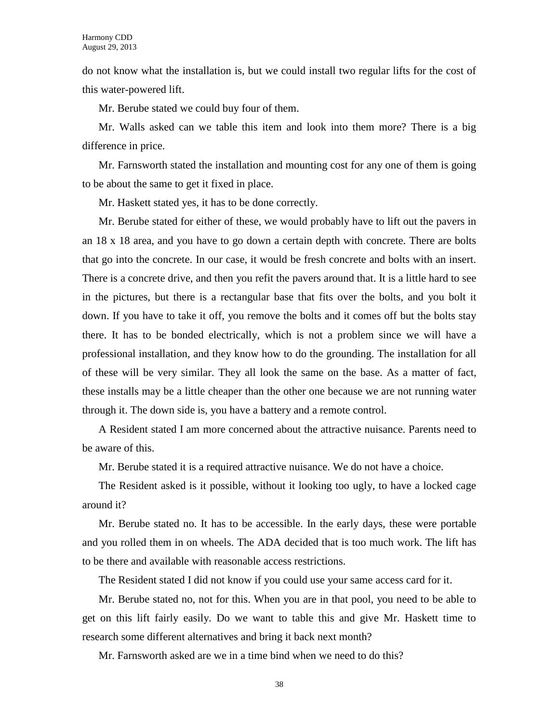do not know what the installation is, but we could install two regular lifts for the cost of this water-powered lift.

Mr. Berube stated we could buy four of them.

Mr. Walls asked can we table this item and look into them more? There is a big difference in price.

Mr. Farnsworth stated the installation and mounting cost for any one of them is going to be about the same to get it fixed in place.

Mr. Haskett stated yes, it has to be done correctly.

Mr. Berube stated for either of these, we would probably have to lift out the pavers in an 18 x 18 area, and you have to go down a certain depth with concrete. There are bolts that go into the concrete. In our case, it would be fresh concrete and bolts with an insert. There is a concrete drive, and then you refit the pavers around that. It is a little hard to see in the pictures, but there is a rectangular base that fits over the bolts, and you bolt it down. If you have to take it off, you remove the bolts and it comes off but the bolts stay there. It has to be bonded electrically, which is not a problem since we will have a professional installation, and they know how to do the grounding. The installation for all of these will be very similar. They all look the same on the base. As a matter of fact, these installs may be a little cheaper than the other one because we are not running water through it. The down side is, you have a battery and a remote control.

A Resident stated I am more concerned about the attractive nuisance. Parents need to be aware of this.

Mr. Berube stated it is a required attractive nuisance. We do not have a choice.

The Resident asked is it possible, without it looking too ugly, to have a locked cage around it?

Mr. Berube stated no. It has to be accessible. In the early days, these were portable and you rolled them in on wheels. The ADA decided that is too much work. The lift has to be there and available with reasonable access restrictions.

The Resident stated I did not know if you could use your same access card for it.

Mr. Berube stated no, not for this. When you are in that pool, you need to be able to get on this lift fairly easily. Do we want to table this and give Mr. Haskett time to research some different alternatives and bring it back next month?

Mr. Farnsworth asked are we in a time bind when we need to do this?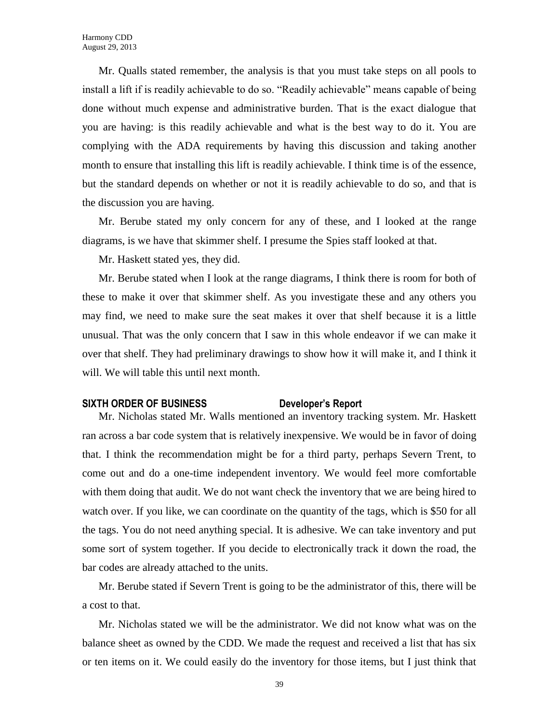Mr. Qualls stated remember, the analysis is that you must take steps on all pools to install a lift if is readily achievable to do so. "Readily achievable" means capable of being done without much expense and administrative burden. That is the exact dialogue that you are having: is this readily achievable and what is the best way to do it. You are complying with the ADA requirements by having this discussion and taking another month to ensure that installing this lift is readily achievable. I think time is of the essence, but the standard depends on whether or not it is readily achievable to do so, and that is the discussion you are having.

Mr. Berube stated my only concern for any of these, and I looked at the range diagrams, is we have that skimmer shelf. I presume the Spies staff looked at that.

Mr. Haskett stated yes, they did.

Mr. Berube stated when I look at the range diagrams, I think there is room for both of these to make it over that skimmer shelf. As you investigate these and any others you may find, we need to make sure the seat makes it over that shelf because it is a little unusual. That was the only concern that I saw in this whole endeavor if we can make it over that shelf. They had preliminary drawings to show how it will make it, and I think it will. We will table this until next month.

#### **SIXTH ORDER OF BUSINESS Developer's Report**

Mr. Nicholas stated Mr. Walls mentioned an inventory tracking system. Mr. Haskett ran across a bar code system that is relatively inexpensive. We would be in favor of doing that. I think the recommendation might be for a third party, perhaps Severn Trent, to come out and do a one-time independent inventory. We would feel more comfortable with them doing that audit. We do not want check the inventory that we are being hired to watch over. If you like, we can coordinate on the quantity of the tags, which is \$50 for all the tags. You do not need anything special. It is adhesive. We can take inventory and put some sort of system together. If you decide to electronically track it down the road, the bar codes are already attached to the units.

Mr. Berube stated if Severn Trent is going to be the administrator of this, there will be a cost to that.

Mr. Nicholas stated we will be the administrator. We did not know what was on the balance sheet as owned by the CDD. We made the request and received a list that has six or ten items on it. We could easily do the inventory for those items, but I just think that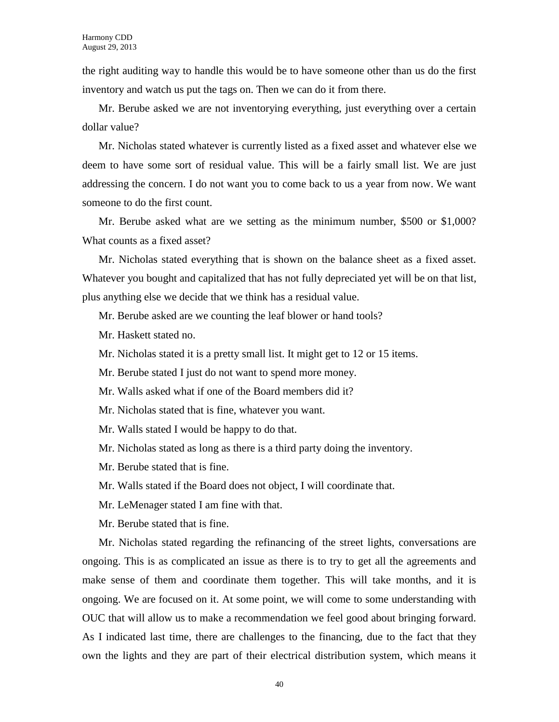the right auditing way to handle this would be to have someone other than us do the first inventory and watch us put the tags on. Then we can do it from there.

Mr. Berube asked we are not inventorying everything, just everything over a certain dollar value?

Mr. Nicholas stated whatever is currently listed as a fixed asset and whatever else we deem to have some sort of residual value. This will be a fairly small list. We are just addressing the concern. I do not want you to come back to us a year from now. We want someone to do the first count.

Mr. Berube asked what are we setting as the minimum number, \$500 or \$1,000? What counts as a fixed asset?

Mr. Nicholas stated everything that is shown on the balance sheet as a fixed asset. Whatever you bought and capitalized that has not fully depreciated yet will be on that list, plus anything else we decide that we think has a residual value.

- Mr. Berube asked are we counting the leaf blower or hand tools?
- Mr. Haskett stated no.
- Mr. Nicholas stated it is a pretty small list. It might get to 12 or 15 items.
- Mr. Berube stated I just do not want to spend more money.
- Mr. Walls asked what if one of the Board members did it?
- Mr. Nicholas stated that is fine, whatever you want.
- Mr. Walls stated I would be happy to do that.
- Mr. Nicholas stated as long as there is a third party doing the inventory.
- Mr. Berube stated that is fine.
- Mr. Walls stated if the Board does not object, I will coordinate that.
- Mr. LeMenager stated I am fine with that.
- Mr. Berube stated that is fine.

Mr. Nicholas stated regarding the refinancing of the street lights, conversations are ongoing. This is as complicated an issue as there is to try to get all the agreements and make sense of them and coordinate them together. This will take months, and it is ongoing. We are focused on it. At some point, we will come to some understanding with OUC that will allow us to make a recommendation we feel good about bringing forward. As I indicated last time, there are challenges to the financing, due to the fact that they own the lights and they are part of their electrical distribution system, which means it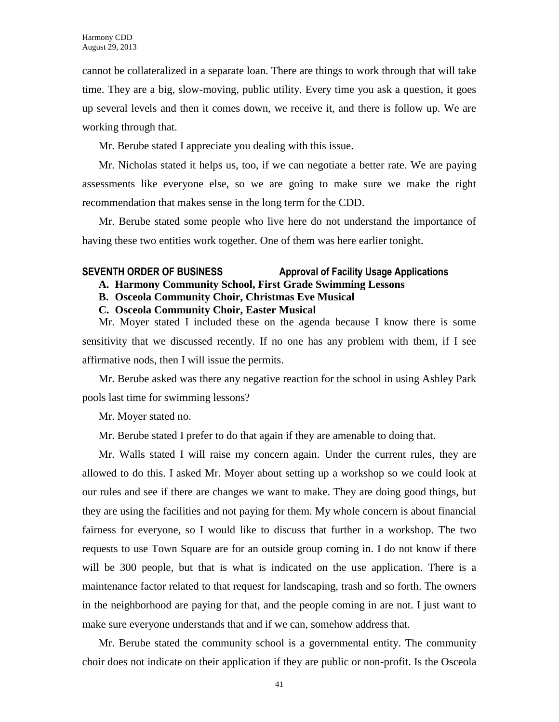cannot be collateralized in a separate loan. There are things to work through that will take time. They are a big, slow-moving, public utility. Every time you ask a question, it goes up several levels and then it comes down, we receive it, and there is follow up. We are working through that.

Mr. Berube stated I appreciate you dealing with this issue.

Mr. Nicholas stated it helps us, too, if we can negotiate a better rate. We are paying assessments like everyone else, so we are going to make sure we make the right recommendation that makes sense in the long term for the CDD.

Mr. Berube stated some people who live here do not understand the importance of having these two entities work together. One of them was here earlier tonight.

## **SEVENTH ORDER OF BUSINESS Approval of Facility Usage Applications**

- **A. Harmony Community School, First Grade Swimming Lessons**
- **B. Osceola Community Choir, Christmas Eve Musical**
- **C. Osceola Community Choir, Easter Musical**

Mr. Moyer stated I included these on the agenda because I know there is some sensitivity that we discussed recently. If no one has any problem with them, if I see affirmative nods, then I will issue the permits.

Mr. Berube asked was there any negative reaction for the school in using Ashley Park pools last time for swimming lessons?

Mr. Moyer stated no.

Mr. Berube stated I prefer to do that again if they are amenable to doing that.

Mr. Walls stated I will raise my concern again. Under the current rules, they are allowed to do this. I asked Mr. Moyer about setting up a workshop so we could look at our rules and see if there are changes we want to make. They are doing good things, but they are using the facilities and not paying for them. My whole concern is about financial fairness for everyone, so I would like to discuss that further in a workshop. The two requests to use Town Square are for an outside group coming in. I do not know if there will be 300 people, but that is what is indicated on the use application. There is a maintenance factor related to that request for landscaping, trash and so forth. The owners in the neighborhood are paying for that, and the people coming in are not. I just want to make sure everyone understands that and if we can, somehow address that.

Mr. Berube stated the community school is a governmental entity. The community choir does not indicate on their application if they are public or non-profit. Is the Osceola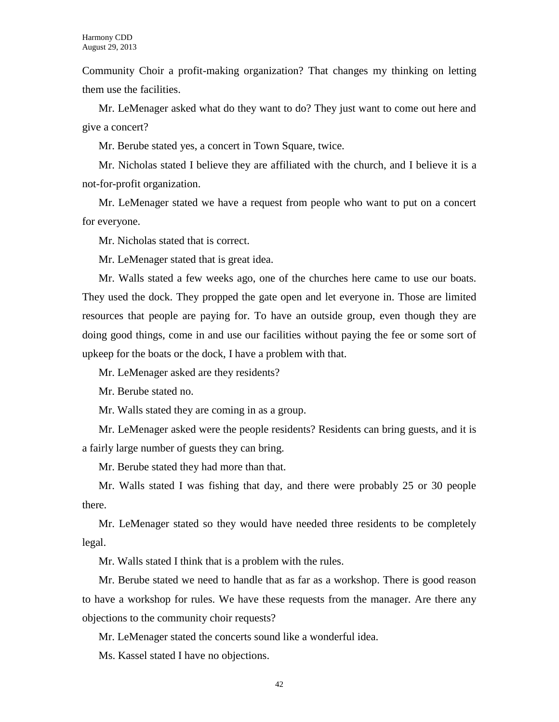Community Choir a profit-making organization? That changes my thinking on letting them use the facilities.

Mr. LeMenager asked what do they want to do? They just want to come out here and give a concert?

Mr. Berube stated yes, a concert in Town Square, twice.

Mr. Nicholas stated I believe they are affiliated with the church, and I believe it is a not-for-profit organization.

Mr. LeMenager stated we have a request from people who want to put on a concert for everyone.

Mr. Nicholas stated that is correct.

Mr. LeMenager stated that is great idea.

Mr. Walls stated a few weeks ago, one of the churches here came to use our boats. They used the dock. They propped the gate open and let everyone in. Those are limited resources that people are paying for. To have an outside group, even though they are doing good things, come in and use our facilities without paying the fee or some sort of upkeep for the boats or the dock, I have a problem with that.

Mr. LeMenager asked are they residents?

Mr. Berube stated no.

Mr. Walls stated they are coming in as a group.

Mr. LeMenager asked were the people residents? Residents can bring guests, and it is a fairly large number of guests they can bring.

Mr. Berube stated they had more than that.

Mr. Walls stated I was fishing that day, and there were probably 25 or 30 people there.

Mr. LeMenager stated so they would have needed three residents to be completely legal.

Mr. Walls stated I think that is a problem with the rules.

Mr. Berube stated we need to handle that as far as a workshop. There is good reason to have a workshop for rules. We have these requests from the manager. Are there any objections to the community choir requests?

Mr. LeMenager stated the concerts sound like a wonderful idea.

Ms. Kassel stated I have no objections.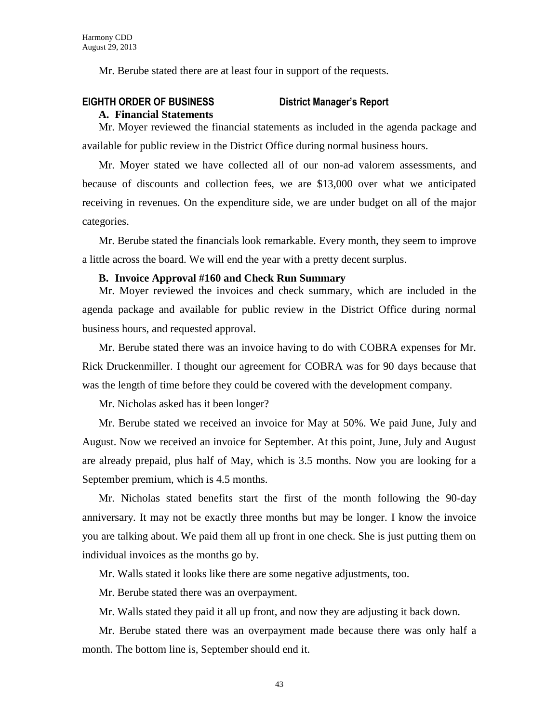Mr. Berube stated there are at least four in support of the requests.

## **EIGHTH ORDER OF BUSINESS District Manager's Report**

#### **A. Financial Statements**

Mr. Moyer reviewed the financial statements as included in the agenda package and available for public review in the District Office during normal business hours.

Mr. Moyer stated we have collected all of our non-ad valorem assessments, and because of discounts and collection fees, we are \$13,000 over what we anticipated receiving in revenues. On the expenditure side, we are under budget on all of the major categories.

Mr. Berube stated the financials look remarkable. Every month, they seem to improve a little across the board. We will end the year with a pretty decent surplus.

#### **B. Invoice Approval #160 and Check Run Summary**

Mr. Moyer reviewed the invoices and check summary, which are included in the agenda package and available for public review in the District Office during normal business hours, and requested approval.

Mr. Berube stated there was an invoice having to do with COBRA expenses for Mr. Rick Druckenmiller. I thought our agreement for COBRA was for 90 days because that was the length of time before they could be covered with the development company.

Mr. Nicholas asked has it been longer?

Mr. Berube stated we received an invoice for May at 50%. We paid June, July and August. Now we received an invoice for September. At this point, June, July and August are already prepaid, plus half of May, which is 3.5 months. Now you are looking for a September premium, which is 4.5 months.

Mr. Nicholas stated benefits start the first of the month following the 90-day anniversary. It may not be exactly three months but may be longer. I know the invoice you are talking about. We paid them all up front in one check. She is just putting them on individual invoices as the months go by.

Mr. Walls stated it looks like there are some negative adjustments, too.

Mr. Berube stated there was an overpayment.

Mr. Walls stated they paid it all up front, and now they are adjusting it back down.

Mr. Berube stated there was an overpayment made because there was only half a month. The bottom line is, September should end it.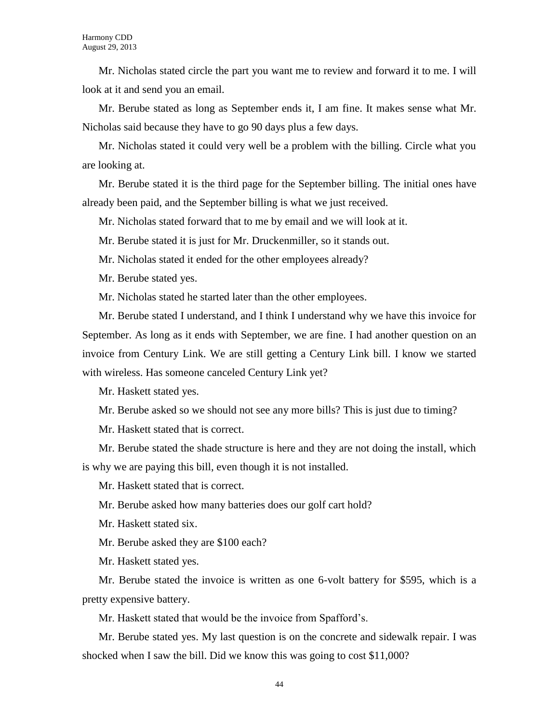Mr. Nicholas stated circle the part you want me to review and forward it to me. I will look at it and send you an email.

Mr. Berube stated as long as September ends it, I am fine. It makes sense what Mr. Nicholas said because they have to go 90 days plus a few days.

Mr. Nicholas stated it could very well be a problem with the billing. Circle what you are looking at.

Mr. Berube stated it is the third page for the September billing. The initial ones have already been paid, and the September billing is what we just received.

Mr. Nicholas stated forward that to me by email and we will look at it.

Mr. Berube stated it is just for Mr. Druckenmiller, so it stands out.

Mr. Nicholas stated it ended for the other employees already?

Mr. Berube stated yes.

Mr. Nicholas stated he started later than the other employees.

Mr. Berube stated I understand, and I think I understand why we have this invoice for September. As long as it ends with September, we are fine. I had another question on an invoice from Century Link. We are still getting a Century Link bill. I know we started with wireless. Has someone canceled Century Link yet?

Mr. Haskett stated yes.

Mr. Berube asked so we should not see any more bills? This is just due to timing?

Mr. Haskett stated that is correct.

Mr. Berube stated the shade structure is here and they are not doing the install, which is why we are paying this bill, even though it is not installed.

Mr. Haskett stated that is correct.

Mr. Berube asked how many batteries does our golf cart hold?

Mr. Haskett stated six.

Mr. Berube asked they are \$100 each?

Mr. Haskett stated yes.

Mr. Berube stated the invoice is written as one 6-volt battery for \$595, which is a pretty expensive battery.

Mr. Haskett stated that would be the invoice from Spafford's.

Mr. Berube stated yes. My last question is on the concrete and sidewalk repair. I was shocked when I saw the bill. Did we know this was going to cost \$11,000?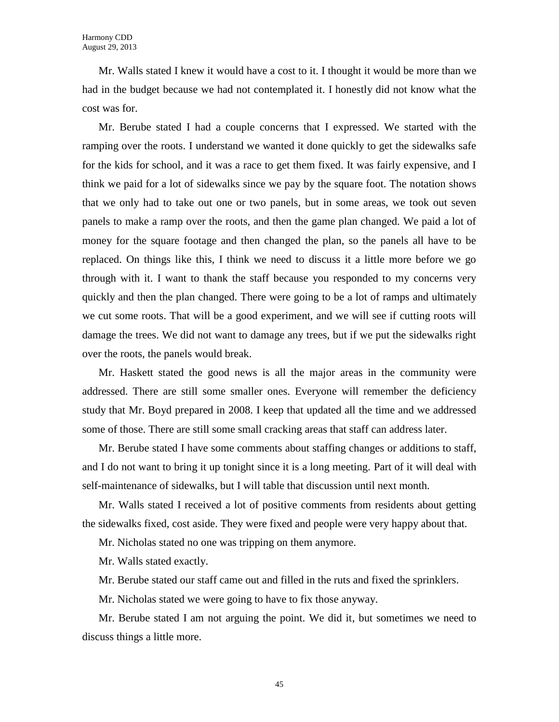Mr. Walls stated I knew it would have a cost to it. I thought it would be more than we had in the budget because we had not contemplated it. I honestly did not know what the cost was for.

Mr. Berube stated I had a couple concerns that I expressed. We started with the ramping over the roots. I understand we wanted it done quickly to get the sidewalks safe for the kids for school, and it was a race to get them fixed. It was fairly expensive, and I think we paid for a lot of sidewalks since we pay by the square foot. The notation shows that we only had to take out one or two panels, but in some areas, we took out seven panels to make a ramp over the roots, and then the game plan changed. We paid a lot of money for the square footage and then changed the plan, so the panels all have to be replaced. On things like this, I think we need to discuss it a little more before we go through with it. I want to thank the staff because you responded to my concerns very quickly and then the plan changed. There were going to be a lot of ramps and ultimately we cut some roots. That will be a good experiment, and we will see if cutting roots will damage the trees. We did not want to damage any trees, but if we put the sidewalks right over the roots, the panels would break.

Mr. Haskett stated the good news is all the major areas in the community were addressed. There are still some smaller ones. Everyone will remember the deficiency study that Mr. Boyd prepared in 2008. I keep that updated all the time and we addressed some of those. There are still some small cracking areas that staff can address later.

Mr. Berube stated I have some comments about staffing changes or additions to staff, and I do not want to bring it up tonight since it is a long meeting. Part of it will deal with self-maintenance of sidewalks, but I will table that discussion until next month.

Mr. Walls stated I received a lot of positive comments from residents about getting the sidewalks fixed, cost aside. They were fixed and people were very happy about that.

Mr. Nicholas stated no one was tripping on them anymore.

Mr. Walls stated exactly.

Mr. Berube stated our staff came out and filled in the ruts and fixed the sprinklers.

Mr. Nicholas stated we were going to have to fix those anyway.

Mr. Berube stated I am not arguing the point. We did it, but sometimes we need to discuss things a little more.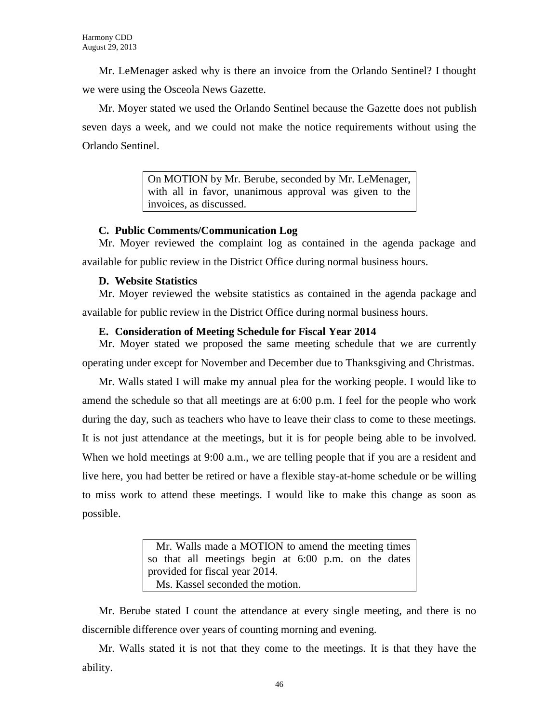Mr. LeMenager asked why is there an invoice from the Orlando Sentinel? I thought we were using the Osceola News Gazette.

Mr. Moyer stated we used the Orlando Sentinel because the Gazette does not publish seven days a week, and we could not make the notice requirements without using the Orlando Sentinel.

> On MOTION by Mr. Berube, seconded by Mr. LeMenager, with all in favor, unanimous approval was given to the invoices, as discussed.

### **C. Public Comments/Communication Log**

Mr. Moyer reviewed the complaint log as contained in the agenda package and available for public review in the District Office during normal business hours.

## **D. Website Statistics**

Mr. Moyer reviewed the website statistics as contained in the agenda package and available for public review in the District Office during normal business hours.

## **E. Consideration of Meeting Schedule for Fiscal Year 2014**

Mr. Moyer stated we proposed the same meeting schedule that we are currently operating under except for November and December due to Thanksgiving and Christmas.

Mr. Walls stated I will make my annual plea for the working people. I would like to amend the schedule so that all meetings are at 6:00 p.m. I feel for the people who work during the day, such as teachers who have to leave their class to come to these meetings. It is not just attendance at the meetings, but it is for people being able to be involved. When we hold meetings at 9:00 a.m., we are telling people that if you are a resident and live here, you had better be retired or have a flexible stay-at-home schedule or be willing to miss work to attend these meetings. I would like to make this change as soon as possible.

> Mr. Walls made a MOTION to amend the meeting times so that all meetings begin at 6:00 p.m. on the dates provided for fiscal year 2014. Ms. Kassel seconded the motion.

Mr. Berube stated I count the attendance at every single meeting, and there is no discernible difference over years of counting morning and evening.

Mr. Walls stated it is not that they come to the meetings. It is that they have the ability.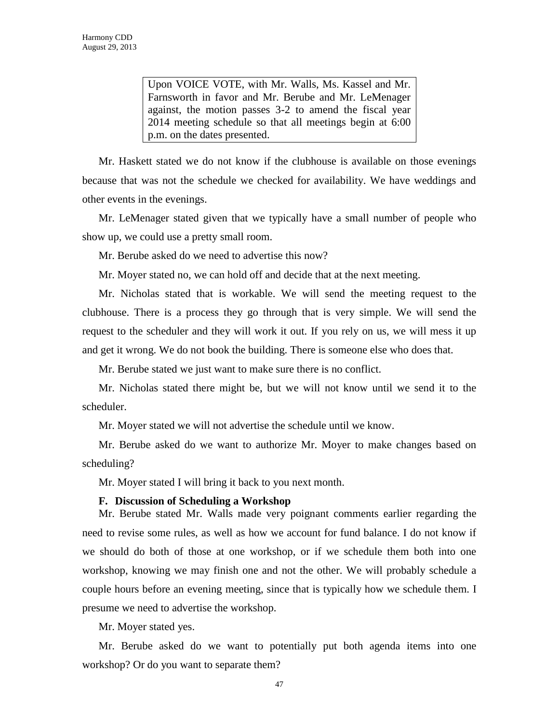Upon VOICE VOTE, with Mr. Walls, Ms. Kassel and Mr. Farnsworth in favor and Mr. Berube and Mr. LeMenager against, the motion passes 3-2 to amend the fiscal year 2014 meeting schedule so that all meetings begin at 6:00 p.m. on the dates presented.

Mr. Haskett stated we do not know if the clubhouse is available on those evenings because that was not the schedule we checked for availability. We have weddings and other events in the evenings.

Mr. LeMenager stated given that we typically have a small number of people who show up, we could use a pretty small room.

Mr. Berube asked do we need to advertise this now?

Mr. Moyer stated no, we can hold off and decide that at the next meeting.

Mr. Nicholas stated that is workable. We will send the meeting request to the clubhouse. There is a process they go through that is very simple. We will send the request to the scheduler and they will work it out. If you rely on us, we will mess it up and get it wrong. We do not book the building. There is someone else who does that.

Mr. Berube stated we just want to make sure there is no conflict.

Mr. Nicholas stated there might be, but we will not know until we send it to the scheduler.

Mr. Moyer stated we will not advertise the schedule until we know.

Mr. Berube asked do we want to authorize Mr. Moyer to make changes based on scheduling?

Mr. Moyer stated I will bring it back to you next month.

#### **F. Discussion of Scheduling a Workshop**

Mr. Berube stated Mr. Walls made very poignant comments earlier regarding the need to revise some rules, as well as how we account for fund balance. I do not know if we should do both of those at one workshop, or if we schedule them both into one workshop, knowing we may finish one and not the other. We will probably schedule a couple hours before an evening meeting, since that is typically how we schedule them. I presume we need to advertise the workshop.

Mr. Moyer stated yes.

Mr. Berube asked do we want to potentially put both agenda items into one workshop? Or do you want to separate them?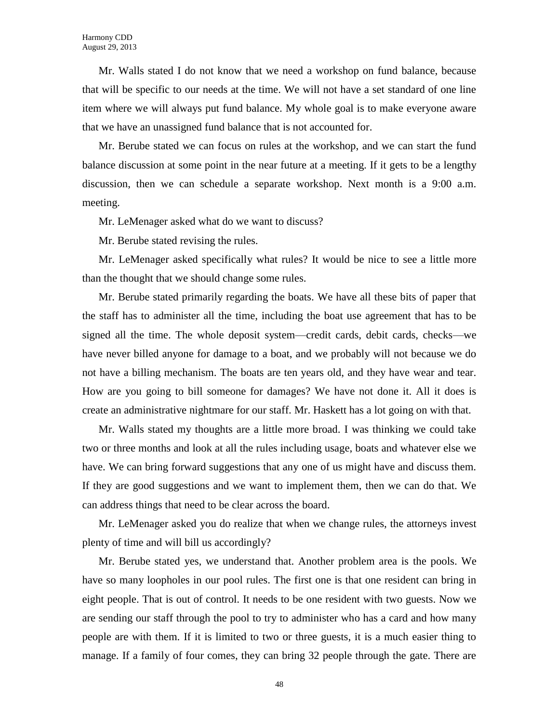Mr. Walls stated I do not know that we need a workshop on fund balance, because that will be specific to our needs at the time. We will not have a set standard of one line item where we will always put fund balance. My whole goal is to make everyone aware that we have an unassigned fund balance that is not accounted for.

Mr. Berube stated we can focus on rules at the workshop, and we can start the fund balance discussion at some point in the near future at a meeting. If it gets to be a lengthy discussion, then we can schedule a separate workshop. Next month is a 9:00 a.m. meeting.

Mr. LeMenager asked what do we want to discuss?

Mr. Berube stated revising the rules.

Mr. LeMenager asked specifically what rules? It would be nice to see a little more than the thought that we should change some rules.

Mr. Berube stated primarily regarding the boats. We have all these bits of paper that the staff has to administer all the time, including the boat use agreement that has to be signed all the time. The whole deposit system—credit cards, debit cards, checks—we have never billed anyone for damage to a boat, and we probably will not because we do not have a billing mechanism. The boats are ten years old, and they have wear and tear. How are you going to bill someone for damages? We have not done it. All it does is create an administrative nightmare for our staff. Mr. Haskett has a lot going on with that.

Mr. Walls stated my thoughts are a little more broad. I was thinking we could take two or three months and look at all the rules including usage, boats and whatever else we have. We can bring forward suggestions that any one of us might have and discuss them. If they are good suggestions and we want to implement them, then we can do that. We can address things that need to be clear across the board.

Mr. LeMenager asked you do realize that when we change rules, the attorneys invest plenty of time and will bill us accordingly?

Mr. Berube stated yes, we understand that. Another problem area is the pools. We have so many loopholes in our pool rules. The first one is that one resident can bring in eight people. That is out of control. It needs to be one resident with two guests. Now we are sending our staff through the pool to try to administer who has a card and how many people are with them. If it is limited to two or three guests, it is a much easier thing to manage. If a family of four comes, they can bring 32 people through the gate. There are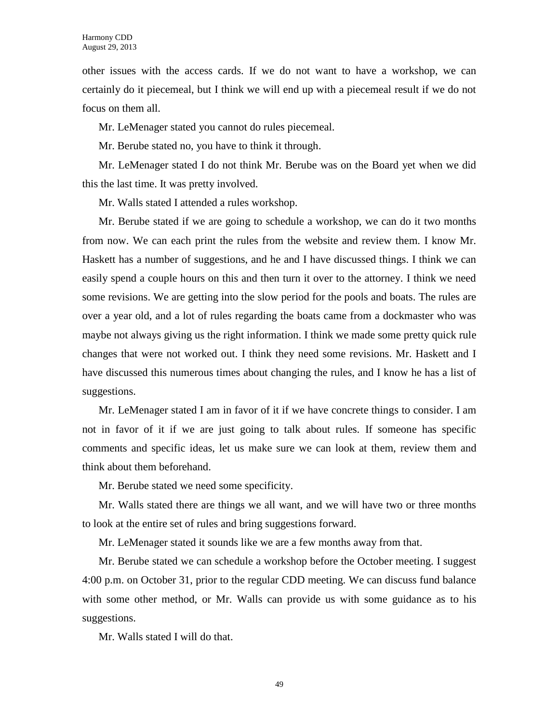other issues with the access cards. If we do not want to have a workshop, we can certainly do it piecemeal, but I think we will end up with a piecemeal result if we do not focus on them all.

Mr. LeMenager stated you cannot do rules piecemeal.

Mr. Berube stated no, you have to think it through.

Mr. LeMenager stated I do not think Mr. Berube was on the Board yet when we did this the last time. It was pretty involved.

Mr. Walls stated I attended a rules workshop.

Mr. Berube stated if we are going to schedule a workshop, we can do it two months from now. We can each print the rules from the website and review them. I know Mr. Haskett has a number of suggestions, and he and I have discussed things. I think we can easily spend a couple hours on this and then turn it over to the attorney. I think we need some revisions. We are getting into the slow period for the pools and boats. The rules are over a year old, and a lot of rules regarding the boats came from a dockmaster who was maybe not always giving us the right information. I think we made some pretty quick rule changes that were not worked out. I think they need some revisions. Mr. Haskett and I have discussed this numerous times about changing the rules, and I know he has a list of suggestions.

Mr. LeMenager stated I am in favor of it if we have concrete things to consider. I am not in favor of it if we are just going to talk about rules. If someone has specific comments and specific ideas, let us make sure we can look at them, review them and think about them beforehand.

Mr. Berube stated we need some specificity.

Mr. Walls stated there are things we all want, and we will have two or three months to look at the entire set of rules and bring suggestions forward.

Mr. LeMenager stated it sounds like we are a few months away from that.

Mr. Berube stated we can schedule a workshop before the October meeting. I suggest 4:00 p.m. on October 31, prior to the regular CDD meeting. We can discuss fund balance with some other method, or Mr. Walls can provide us with some guidance as to his suggestions.

Mr. Walls stated I will do that.

49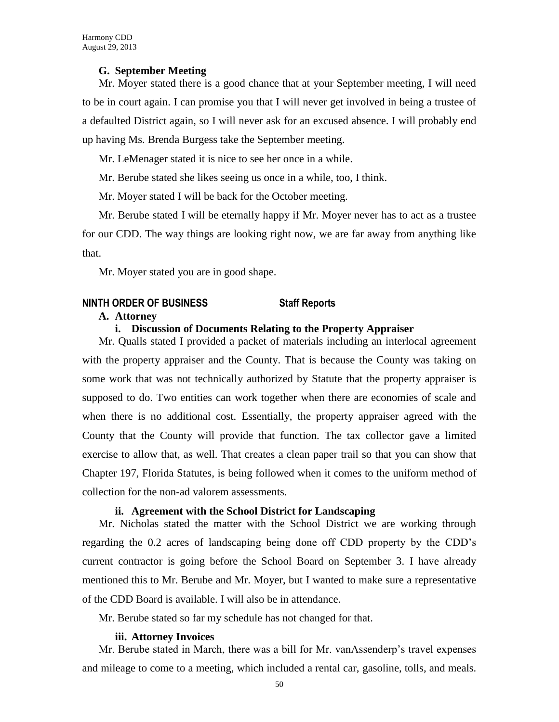#### **G. September Meeting**

Mr. Moyer stated there is a good chance that at your September meeting, I will need to be in court again. I can promise you that I will never get involved in being a trustee of a defaulted District again, so I will never ask for an excused absence. I will probably end up having Ms. Brenda Burgess take the September meeting.

Mr. LeMenager stated it is nice to see her once in a while.

Mr. Berube stated she likes seeing us once in a while, too, I think.

Mr. Moyer stated I will be back for the October meeting.

Mr. Berube stated I will be eternally happy if Mr. Moyer never has to act as a trustee for our CDD. The way things are looking right now, we are far away from anything like that.

Mr. Moyer stated you are in good shape.

#### **NINTH ORDER OF BUSINESS Staff Reports**

#### **A. Attorney**

#### **i. Discussion of Documents Relating to the Property Appraiser**

Mr. Qualls stated I provided a packet of materials including an interlocal agreement with the property appraiser and the County. That is because the County was taking on some work that was not technically authorized by Statute that the property appraiser is supposed to do. Two entities can work together when there are economies of scale and when there is no additional cost. Essentially, the property appraiser agreed with the County that the County will provide that function. The tax collector gave a limited exercise to allow that, as well. That creates a clean paper trail so that you can show that Chapter 197, Florida Statutes, is being followed when it comes to the uniform method of collection for the non-ad valorem assessments.

### **ii. Agreement with the School District for Landscaping**

Mr. Nicholas stated the matter with the School District we are working through regarding the 0.2 acres of landscaping being done off CDD property by the CDD's current contractor is going before the School Board on September 3. I have already mentioned this to Mr. Berube and Mr. Moyer, but I wanted to make sure a representative of the CDD Board is available. I will also be in attendance.

Mr. Berube stated so far my schedule has not changed for that.

#### **iii. Attorney Invoices**

Mr. Berube stated in March, there was a bill for Mr. vanAssenderp's travel expenses and mileage to come to a meeting, which included a rental car, gasoline, tolls, and meals.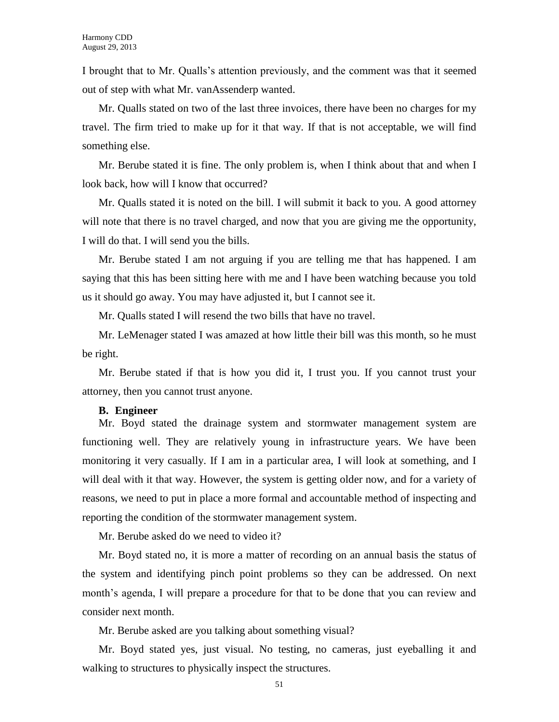I brought that to Mr. Qualls's attention previously, and the comment was that it seemed out of step with what Mr. vanAssenderp wanted.

Mr. Qualls stated on two of the last three invoices, there have been no charges for my travel. The firm tried to make up for it that way. If that is not acceptable, we will find something else.

Mr. Berube stated it is fine. The only problem is, when I think about that and when I look back, how will I know that occurred?

Mr. Qualls stated it is noted on the bill. I will submit it back to you. A good attorney will note that there is no travel charged, and now that you are giving me the opportunity, I will do that. I will send you the bills.

Mr. Berube stated I am not arguing if you are telling me that has happened. I am saying that this has been sitting here with me and I have been watching because you told us it should go away. You may have adjusted it, but I cannot see it.

Mr. Qualls stated I will resend the two bills that have no travel.

Mr. LeMenager stated I was amazed at how little their bill was this month, so he must be right.

Mr. Berube stated if that is how you did it, I trust you. If you cannot trust your attorney, then you cannot trust anyone.

#### **B. Engineer**

Mr. Boyd stated the drainage system and stormwater management system are functioning well. They are relatively young in infrastructure years. We have been monitoring it very casually. If I am in a particular area, I will look at something, and I will deal with it that way. However, the system is getting older now, and for a variety of reasons, we need to put in place a more formal and accountable method of inspecting and reporting the condition of the stormwater management system.

Mr. Berube asked do we need to video it?

Mr. Boyd stated no, it is more a matter of recording on an annual basis the status of the system and identifying pinch point problems so they can be addressed. On next month's agenda, I will prepare a procedure for that to be done that you can review and consider next month.

Mr. Berube asked are you talking about something visual?

Mr. Boyd stated yes, just visual. No testing, no cameras, just eyeballing it and walking to structures to physically inspect the structures.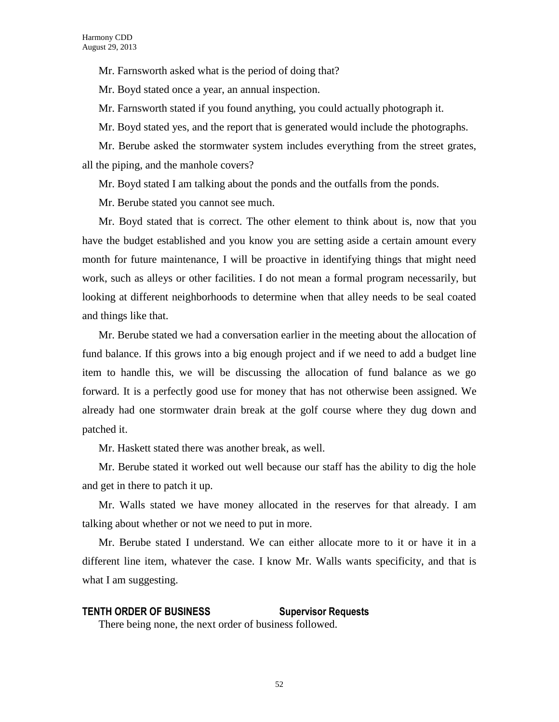Mr. Farnsworth asked what is the period of doing that?

Mr. Boyd stated once a year, an annual inspection.

Mr. Farnsworth stated if you found anything, you could actually photograph it.

Mr. Boyd stated yes, and the report that is generated would include the photographs.

Mr. Berube asked the stormwater system includes everything from the street grates, all the piping, and the manhole covers?

Mr. Boyd stated I am talking about the ponds and the outfalls from the ponds.

Mr. Berube stated you cannot see much.

Mr. Boyd stated that is correct. The other element to think about is, now that you have the budget established and you know you are setting aside a certain amount every month for future maintenance, I will be proactive in identifying things that might need work, such as alleys or other facilities. I do not mean a formal program necessarily, but looking at different neighborhoods to determine when that alley needs to be seal coated and things like that.

Mr. Berube stated we had a conversation earlier in the meeting about the allocation of fund balance. If this grows into a big enough project and if we need to add a budget line item to handle this, we will be discussing the allocation of fund balance as we go forward. It is a perfectly good use for money that has not otherwise been assigned. We already had one stormwater drain break at the golf course where they dug down and patched it.

Mr. Haskett stated there was another break, as well.

Mr. Berube stated it worked out well because our staff has the ability to dig the hole and get in there to patch it up.

Mr. Walls stated we have money allocated in the reserves for that already. I am talking about whether or not we need to put in more.

Mr. Berube stated I understand. We can either allocate more to it or have it in a different line item, whatever the case. I know Mr. Walls wants specificity, and that is what I am suggesting.

### **TENTH ORDER OF BUSINESS Supervisor Requests**

There being none, the next order of business followed.